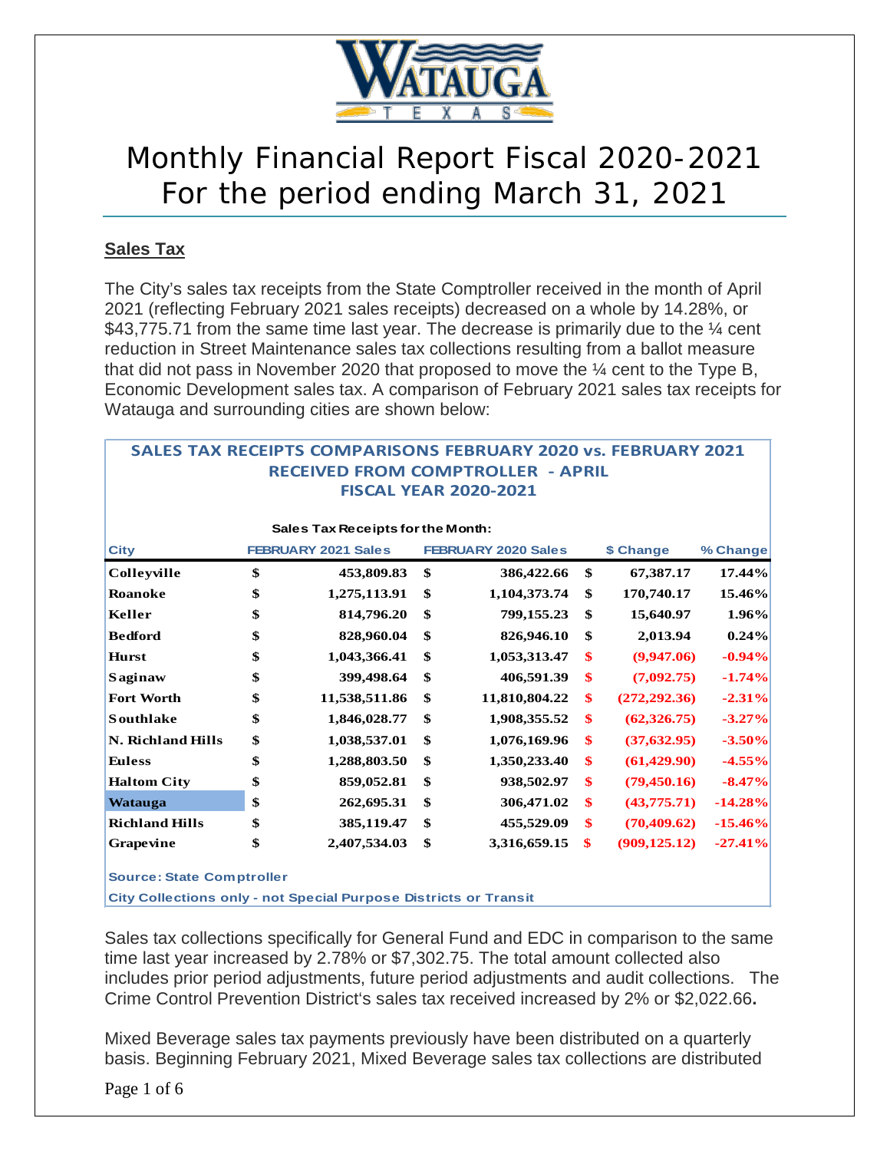

# Monthly Financial Report Fiscal 2020-2021 For the period ending March 31, 2021

### **Sales Tax**

The City's sales tax receipts from the State Comptroller received in the month of April 2021 (reflecting February 2021 sales receipts) decreased on a whole by 14.28%, or \$43,775.71 from the same time last year. The decrease is primarily due to the  $\frac{1}{4}$  cent reduction in Street Maintenance sales tax collections resulting from a ballot measure that did not pass in November 2020 that proposed to move the  $\frac{1}{4}$  cent to the Type B, Economic Development sales tax. A comparison of February 2021 sales tax receipts for Watauga and surrounding cities are shown below:

**SALES TAX RECEIPTS COMPARISONS FEBRUARY 2020 vs. FEBRUARY 2021**

| SALES TAA KELEIPTS                |    | COMPARISONS FEBRUARY       |    | <b>RECEIVED FROM COMPTROLLER - APRIL</b><br><b>FISCAL YEAR 2020-2021</b> |    | <b>ZUZU VS. FEBRUART ZUZI</b> |           |  |  |  |  |
|-----------------------------------|----|----------------------------|----|--------------------------------------------------------------------------|----|-------------------------------|-----------|--|--|--|--|
| Sales Tax Receipts for the Month: |    |                            |    |                                                                          |    |                               |           |  |  |  |  |
| <b>City</b>                       |    | <b>FEBRUARY 2021 Sales</b> |    | <b>FEBRUARY 2020 Sales</b>                                               |    | \$ Change                     | % Change  |  |  |  |  |
| Colleyville                       | \$ | 453,809.83                 | \$ | 386,422.66                                                               | \$ | 67,387.17                     | 17.44%    |  |  |  |  |
| <b>Roanoke</b>                    | \$ | 1,275,113.91               | \$ | 1,104,373.74                                                             | \$ | 170,740.17                    | 15.46%    |  |  |  |  |
| Keller                            | \$ | 814,796.20                 | \$ | 799,155.23                                                               | \$ | 15,640.97                     | 1.96%     |  |  |  |  |
| <b>Bedford</b>                    | \$ | 828,960.04                 | \$ | 826,946.10                                                               | \$ | 2,013.94                      | 0.24%     |  |  |  |  |
| <b>Hurst</b>                      | \$ | 1,043,366.41               | \$ | 1,053,313.47                                                             | \$ | (9,947.06)                    | $-0.94%$  |  |  |  |  |
| Saginaw                           | \$ | 399,498.64                 | \$ | 406,591.39                                                               | \$ | (7,092.75)                    | $-1.74%$  |  |  |  |  |
| <b>Fort Worth</b>                 | \$ | 11,538,511.86              | \$ | 11,810,804.22                                                            | \$ | (272, 292, 36)                | $-2.31%$  |  |  |  |  |
| <b>Southlake</b>                  | \$ | 1,846,028.77               | \$ | 1,908,355.52                                                             | \$ | (62, 326, 75)                 | $-3.27%$  |  |  |  |  |
| <b>N. Richland Hills</b>          | \$ | 1,038,537.01               | \$ | 1,076,169.96                                                             | \$ | (37, 632.95)                  | $-3.50%$  |  |  |  |  |
| <b>Euless</b>                     | \$ | 1,288,803.50               | \$ | 1,350,233.40                                                             | \$ | (61, 429.90)                  | $-4.55%$  |  |  |  |  |
| <b>Haltom City</b>                | \$ | 859,052.81                 | \$ | 938,502.97                                                               | \$ | (79, 450.16)                  | $-8.47%$  |  |  |  |  |
| <b>Watauga</b>                    | \$ | 262,695.31                 | \$ | 306,471.02                                                               | \$ | (43,775.71)                   | $-14.28%$ |  |  |  |  |
| <b>Richland Hills</b>             | \$ | 385,119.47                 | \$ | 455,529.09                                                               | \$ | (70, 409, 62)                 | $-15.46%$ |  |  |  |  |
| Grapevine                         | \$ | 2,407,534.03               | \$ | 3,316,659.15                                                             | \$ | (909, 125.12)                 | $-27.41%$ |  |  |  |  |
| <b>Source: State Comptroller</b>  |    |                            |    |                                                                          |    |                               |           |  |  |  |  |

**City Collections only - not Special Purpose Districts or Transit**

Sales tax collections specifically for General Fund and EDC in comparison to the same time last year increased by 2.78% or \$7,302.75. The total amount collected also includes prior period adjustments, future period adjustments and audit collections. The Crime Control Prevention District's sales tax received increased by 2% or \$2,022.66**.** 

Mixed Beverage sales tax payments previously have been distributed on a quarterly basis. Beginning February 2021, Mixed Beverage sales tax collections are distributed

Page 1 of 6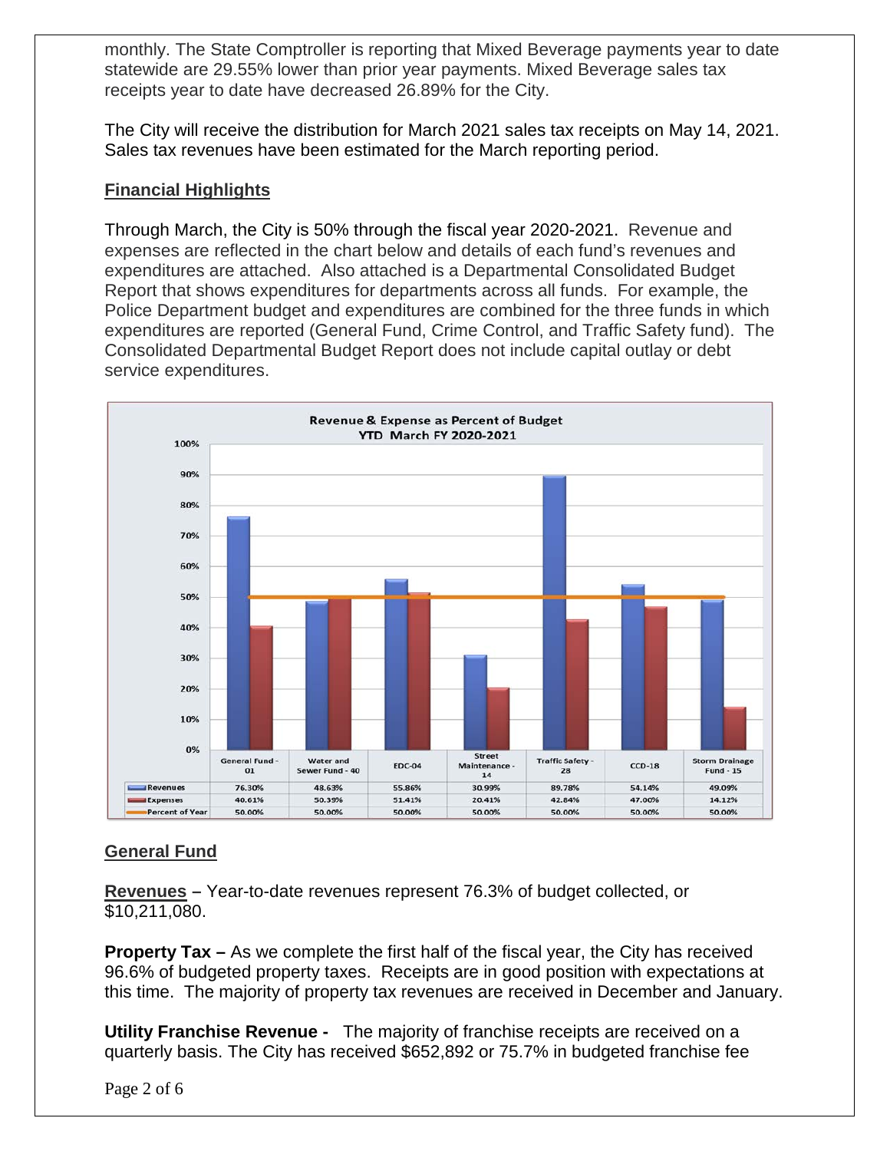monthly. The State Comptroller is reporting that Mixed Beverage payments year to date statewide are 29.55% lower than prior year payments. Mixed Beverage sales tax receipts year to date have decreased 26.89% for the City.

The City will receive the distribution for March 2021 sales tax receipts on May 14, 2021. Sales tax revenues have been estimated for the March reporting period.

### **Financial Highlights**

Through March, the City is 50% through the fiscal year 2020-2021. Revenue and expenses are reflected in the chart below and details of each fund's revenues and expenditures are attached. Also attached is a Departmental Consolidated Budget Report that shows expenditures for departments across all funds. For example, the Police Department budget and expenditures are combined for the three funds in which expenditures are reported (General Fund, Crime Control, and Traffic Safety fund). The Consolidated Departmental Budget Report does not include capital outlay or debt service expenditures.



### **General Fund**

**Revenues –** Year-to-date revenues represent 76.3% of budget collected, or \$10,211,080.

**Property Tax –** As we complete the first half of the fiscal year, the City has received 96.6% of budgeted property taxes. Receipts are in good position with expectations at this time. The majority of property tax revenues are received in December and January.

**Utility Franchise Revenue -** The majority of franchise receipts are received on a quarterly basis. The City has received \$652,892 or 75.7% in budgeted franchise fee

Page 2 of 6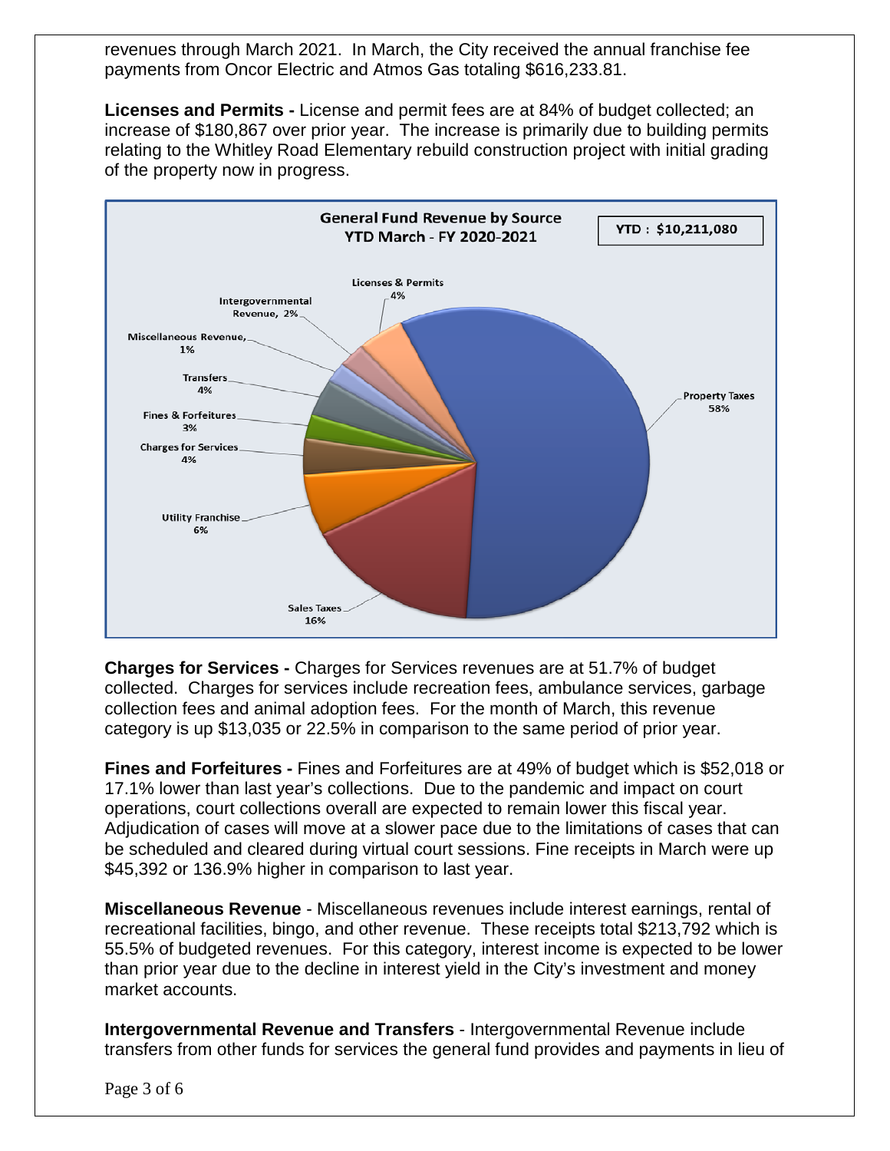revenues through March 2021. In March, the City received the annual franchise fee payments from Oncor Electric and Atmos Gas totaling \$616,233.81.

**Licenses and Permits -** License and permit fees are at 84% of budget collected; an increase of \$180,867 over prior year. The increase is primarily due to building permits relating to the Whitley Road Elementary rebuild construction project with initial grading of the property now in progress.



**Charges for Services -** Charges for Services revenues are at 51.7% of budget collected. Charges for services include recreation fees, ambulance services, garbage collection fees and animal adoption fees. For the month of March, this revenue category is up \$13,035 or 22.5% in comparison to the same period of prior year.

**Fines and Forfeitures -** Fines and Forfeitures are at 49% of budget which is \$52,018 or 17.1% lower than last year's collections. Due to the pandemic and impact on court operations, court collections overall are expected to remain lower this fiscal year. Adjudication of cases will move at a slower pace due to the limitations of cases that can be scheduled and cleared during virtual court sessions. Fine receipts in March were up \$45,392 or 136.9% higher in comparison to last year.

**Miscellaneous Revenue** - Miscellaneous revenues include interest earnings, rental of recreational facilities, bingo, and other revenue. These receipts total \$213,792 which is 55.5% of budgeted revenues. For this category, interest income is expected to be lower than prior year due to the decline in interest yield in the City's investment and money market accounts.

**Intergovernmental Revenue and Transfers** - Intergovernmental Revenue include transfers from other funds for services the general fund provides and payments in lieu of

Page 3 of 6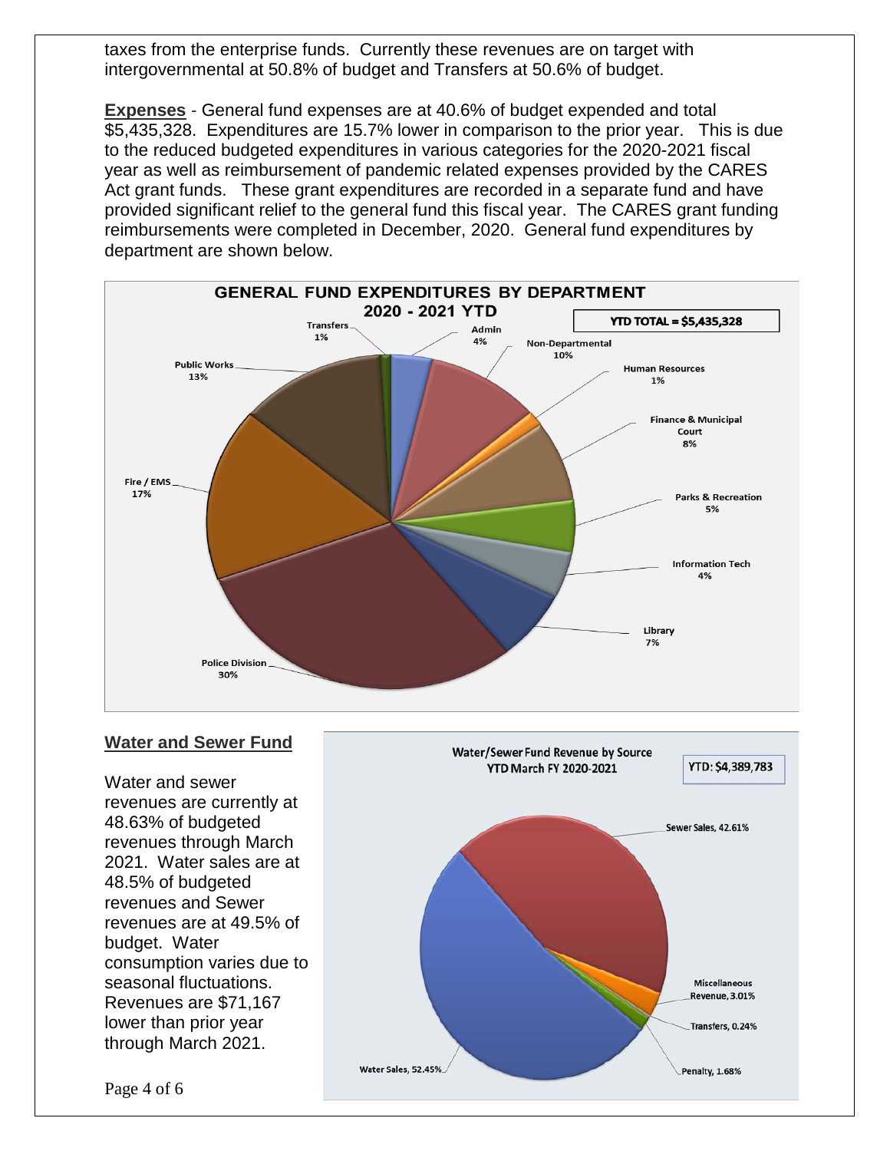taxes from the enterprise funds. Currently these revenues are on target with intergovernmental at 50.8% of budget and Transfers at 50.6% of budget.

**Expenses** - General fund expenses are at 40.6% of budget expended and total \$5,435,328. Expenditures are 15.7% lower in comparison to the prior year. This is due to the reduced budgeted expenditures in various categories for the 2020-2021 fiscal year as well as reimbursement of pandemic related expenses provided by the CARES Act grant funds. These grant expenditures are recorded in a separate fund and have provided significant relief to the general fund this fiscal year. The CARES grant funding reimbursements were completed in December, 2020. General fund expenditures by department are shown below.



### **Water and Sewer Fund**

Water and sewer revenues are currently at 48.63% of budgeted revenues through March 2021. Water sales are at 48.5% of budgeted revenues and Sewer revenues are at 49.5% of budget. Water consumption varies due to seasonal fluctuations. Revenues are \$71,167 lower than prior year through March 2021.



Page 4 of 6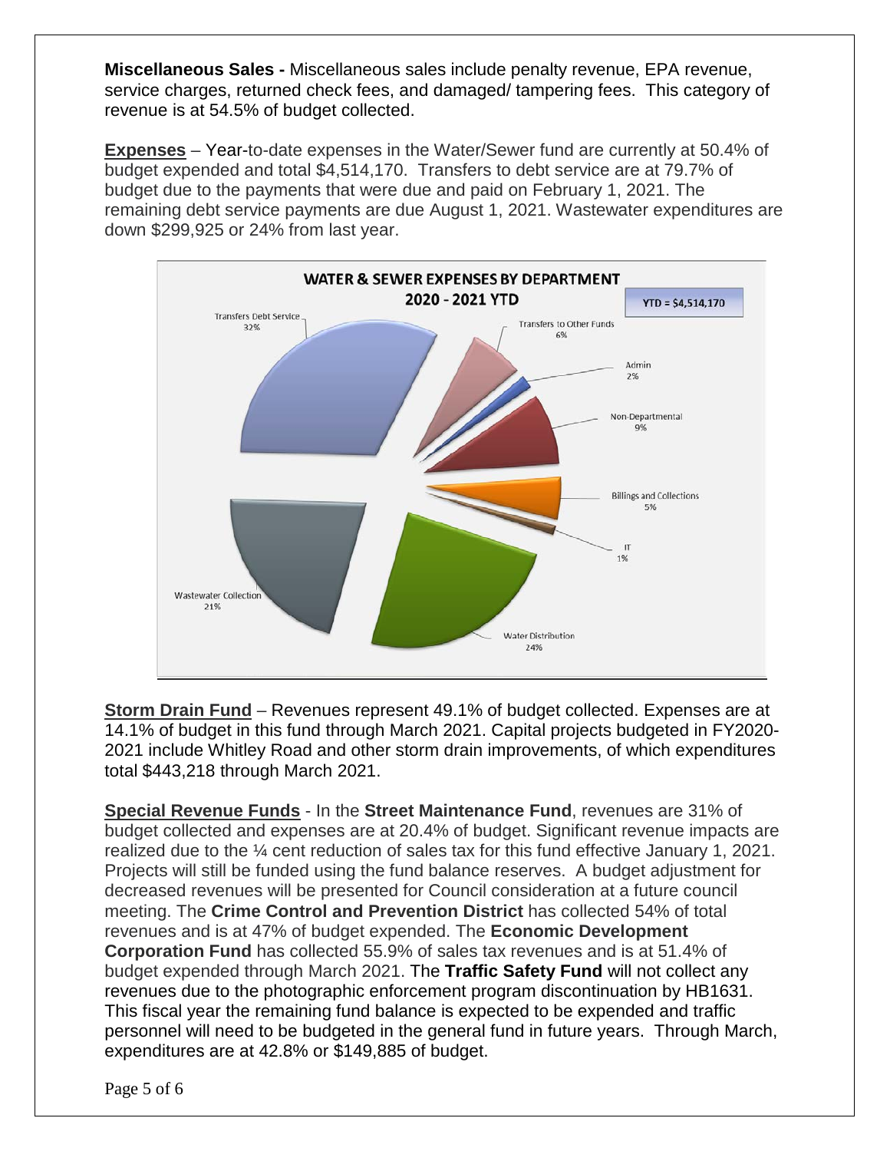**Miscellaneous Sales -** Miscellaneous sales include penalty revenue, EPA revenue, service charges, returned check fees, and damaged/ tampering fees. This category of revenue is at 54.5% of budget collected.

**Expenses** – Year-to-date expenses in the Water/Sewer fund are currently at 50.4% of budget expended and total \$4,514,170. Transfers to debt service are at 79.7% of budget due to the payments that were due and paid on February 1, 2021. The remaining debt service payments are due August 1, 2021. Wastewater expenditures are down \$299,925 or 24% from last year.



**Storm Drain Fund** – Revenues represent 49.1% of budget collected. Expenses are at 14.1% of budget in this fund through March 2021. Capital projects budgeted in FY2020- 2021 include Whitley Road and other storm drain improvements, of which expenditures total \$443,218 through March 2021.

**Special Revenue Funds** - In the **Street Maintenance Fund**, revenues are 31% of budget collected and expenses are at 20.4% of budget. Significant revenue impacts are realized due to the ¼ cent reduction of sales tax for this fund effective January 1, 2021. Projects will still be funded using the fund balance reserves. A budget adjustment for decreased revenues will be presented for Council consideration at a future council meeting. The **Crime Control and Prevention District** has collected 54% of total revenues and is at 47% of budget expended. The **Economic Development Corporation Fund** has collected 55.9% of sales tax revenues and is at 51.4% of budget expended through March 2021. The **Traffic Safety Fund** will not collect any revenues due to the photographic enforcement program discontinuation by HB1631. This fiscal year the remaining fund balance is expected to be expended and traffic personnel will need to be budgeted in the general fund in future years. Through March, expenditures are at 42.8% or \$149,885 of budget.

Page 5 of 6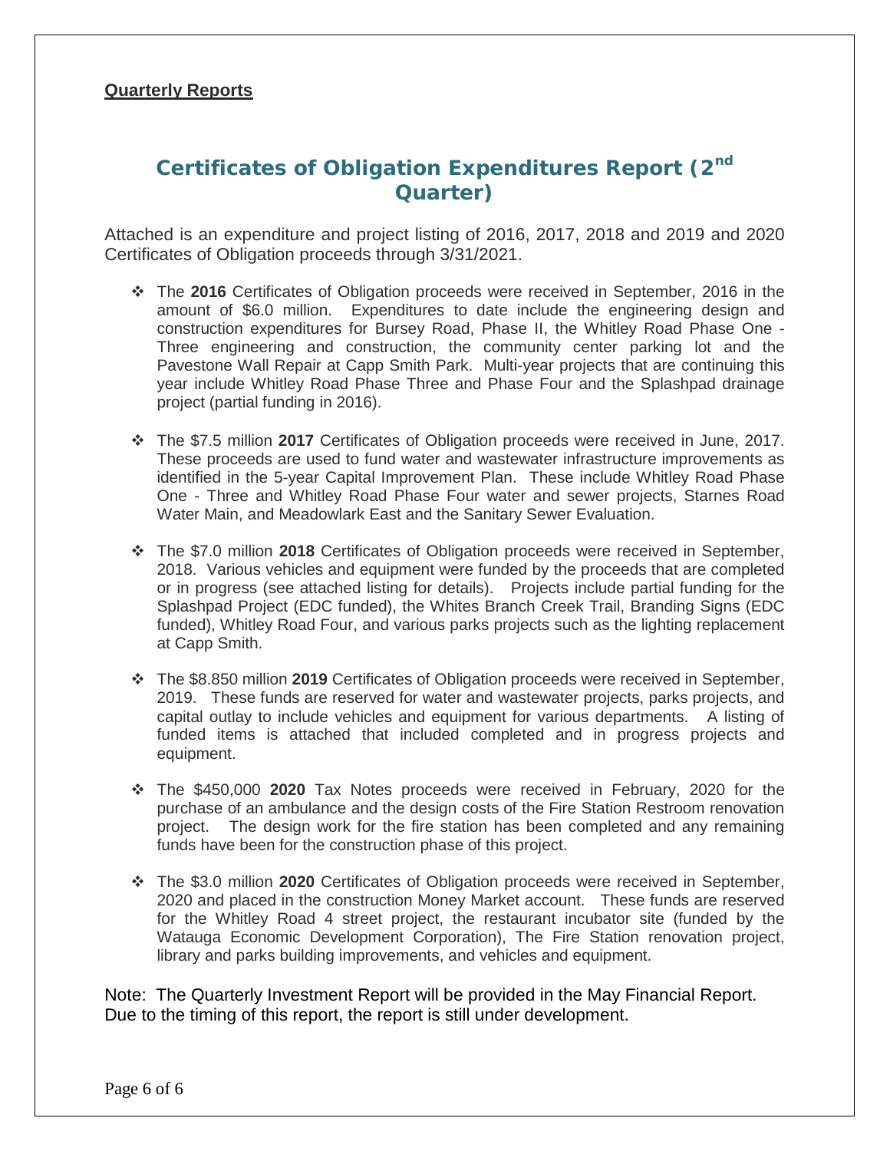### **Quarterly Reports**

# **Certificates of Obligation Expenditures Report (2nd Quarter)**

Attached is an expenditure and project listing of 2016, 2017, 2018 and 2019 and 2020 Certificates of Obligation proceeds through 3/31/2021.

- The **2016** Certificates of Obligation proceeds were received in September, 2016 in the amount of \$6.0 million. Expenditures to date include the engineering design and construction expenditures for Bursey Road, Phase II, the Whitley Road Phase One - Three engineering and construction, the community center parking lot and the Pavestone Wall Repair at Capp Smith Park. Multi-year projects that are continuing this year include Whitley Road Phase Three and Phase Four and the Splashpad drainage project (partial funding in 2016).
- The \$7.5 million **2017** Certificates of Obligation proceeds were received in June, 2017. These proceeds are used to fund water and wastewater infrastructure improvements as identified in the 5-year Capital Improvement Plan. These include Whitley Road Phase One - Three and Whitley Road Phase Four water and sewer projects, Starnes Road Water Main, and Meadowlark East and the Sanitary Sewer Evaluation.
- The \$7.0 million **2018** Certificates of Obligation proceeds were received in September, 2018. Various vehicles and equipment were funded by the proceeds that are completed or in progress (see attached listing for details). Projects include partial funding for the Splashpad Project (EDC funded), the Whites Branch Creek Trail, Branding Signs (EDC funded), Whitley Road Four, and various parks projects such as the lighting replacement at Capp Smith.
- The \$8.850 million **2019** Certificates of Obligation proceeds were received in September, 2019. These funds are reserved for water and wastewater projects, parks projects, and capital outlay to include vehicles and equipment for various departments. A listing of funded items is attached that included completed and in progress projects and equipment.
- The \$450,000 **2020** Tax Notes proceeds were received in February, 2020 for the purchase of an ambulance and the design costs of the Fire Station Restroom renovation project. The design work for the fire station has been completed and any remaining funds have been for the construction phase of this project.
- The \$3.0 million **2020** Certificates of Obligation proceeds were received in September, 2020 and placed in the construction Money Market account. These funds are reserved for the Whitley Road 4 street project, the restaurant incubator site (funded by the Watauga Economic Development Corporation), The Fire Station renovation project, library and parks building improvements, and vehicles and equipment.

Note: The Quarterly Investment Report will be provided in the May Financial Report. Due to the timing of this report, the report is still under development.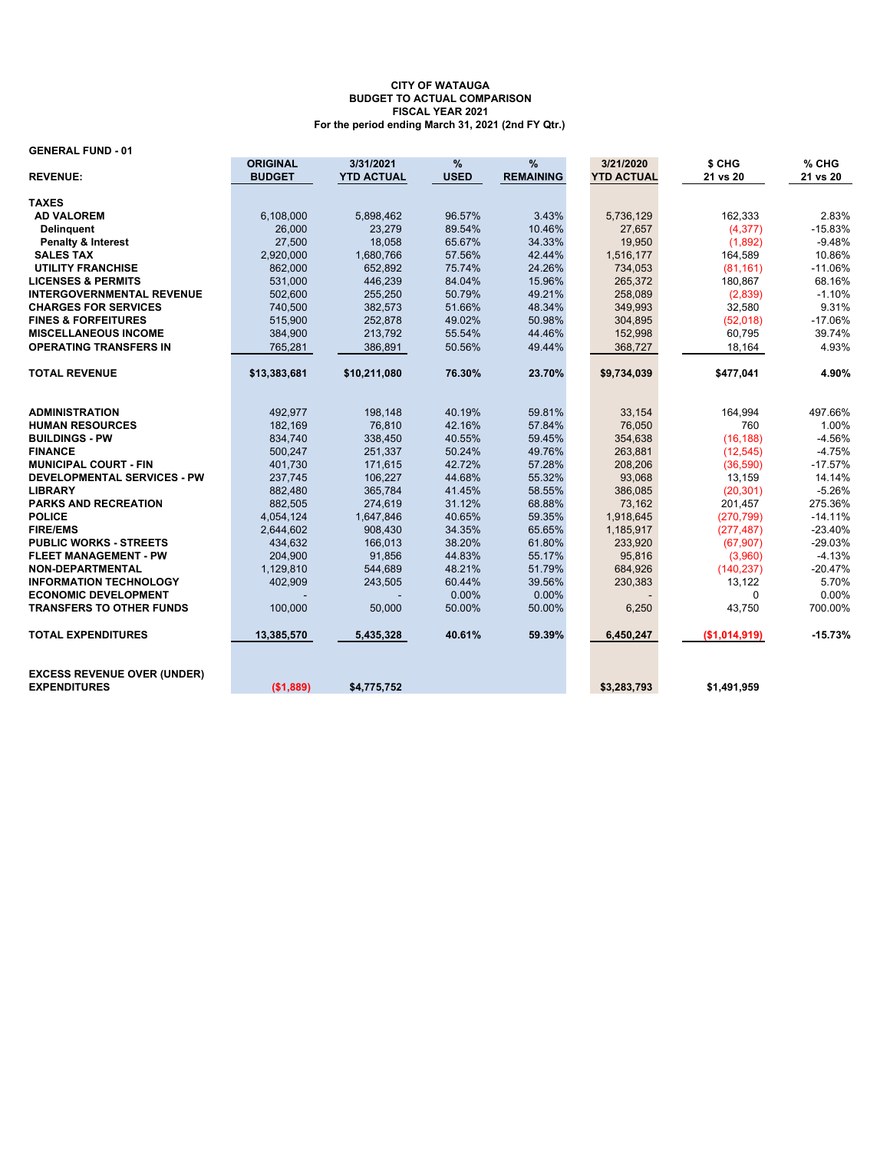#### **GENERAL FUND - 01**

|                                                           | <b>ORIGINAL</b> | 3/31/2021         | %           | %                | 3/21/2020         | \$ CHG        | % CHG     |
|-----------------------------------------------------------|-----------------|-------------------|-------------|------------------|-------------------|---------------|-----------|
| <b>REVENUE:</b>                                           | <b>BUDGET</b>   | <b>YTD ACTUAL</b> | <b>USED</b> | <b>REMAINING</b> | <b>YTD ACTUAL</b> | 21 vs 20      | 21 vs 20  |
|                                                           |                 |                   |             |                  |                   |               |           |
| <b>TAXES</b>                                              |                 |                   |             |                  |                   |               |           |
| <b>AD VALOREM</b>                                         | 6,108,000       | 5,898,462         | 96.57%      | 3.43%            | 5,736,129         | 162,333       | 2.83%     |
| <b>Delinquent</b>                                         | 26,000          | 23,279            | 89.54%      | 10.46%           | 27,657            | (4, 377)      | $-15.83%$ |
| <b>Penalty &amp; Interest</b>                             | 27,500          | 18,058            | 65.67%      | 34.33%           | 19,950            | (1,892)       | $-9.48%$  |
| <b>SALES TAX</b>                                          | 2,920,000       | 1,680,766         | 57.56%      | 42.44%           | 1,516,177         | 164,589       | 10.86%    |
| <b>UTILITY FRANCHISE</b>                                  | 862,000         | 652.892           | 75.74%      | 24.26%           | 734,053           | (81, 161)     | $-11.06%$ |
| <b>LICENSES &amp; PERMITS</b>                             | 531,000         | 446,239           | 84.04%      | 15.96%           | 265,372           | 180,867       | 68.16%    |
| <b>INTERGOVERNMENTAL REVENUE</b>                          | 502,600         | 255,250           | 50.79%      | 49.21%           | 258,089           | (2,839)       | $-1.10%$  |
| <b>CHARGES FOR SERVICES</b>                               | 740,500         | 382,573           | 51.66%      | 48.34%           | 349,993           | 32,580        | 9.31%     |
| <b>FINES &amp; FORFEITURES</b>                            | 515,900         | 252,878           | 49.02%      | 50.98%           | 304,895           | (52,018)      | $-17.06%$ |
| <b>MISCELLANEOUS INCOME</b>                               | 384,900         | 213,792           | 55.54%      | 44.46%           | 152,998           | 60,795        | 39.74%    |
| <b>OPERATING TRANSFERS IN</b>                             | 765,281         | 386,891           | 50.56%      | 49.44%           | 368,727           | 18,164        | 4.93%     |
| <b>TOTAL REVENUE</b>                                      | \$13,383,681    | \$10,211,080      | 76.30%      | 23.70%           | \$9,734,039       | \$477,041     | 4.90%     |
|                                                           |                 |                   |             |                  |                   |               |           |
| <b>ADMINISTRATION</b>                                     | 492,977         | 198,148           | 40.19%      | 59.81%           | 33,154            | 164,994       | 497.66%   |
| <b>HUMAN RESOURCES</b>                                    | 182,169         | 76,810            | 42.16%      | 57.84%           | 76,050            | 760           | 1.00%     |
| <b>BUILDINGS - PW</b>                                     | 834,740         | 338,450           | 40.55%      | 59.45%           | 354,638           | (16, 188)     | $-4.56%$  |
| <b>FINANCE</b>                                            | 500,247         | 251,337           | 50.24%      | 49.76%           | 263,881           | (12, 545)     | $-4.75%$  |
| <b>MUNICIPAL COURT - FIN</b>                              | 401.730         | 171,615           | 42.72%      | 57.28%           | 208,206           | (36,590)      | $-17.57%$ |
| <b>DEVELOPMENTAL SERVICES - PW</b>                        | 237,745         | 106,227           | 44.68%      | 55.32%           | 93,068            | 13,159        | 14.14%    |
| <b>LIBRARY</b>                                            | 882,480         | 365,784           | 41.45%      | 58.55%           | 386,085           | (20, 301)     | $-5.26%$  |
| <b>PARKS AND RECREATION</b>                               | 882,505         | 274,619           | 31.12%      | 68.88%           | 73,162            | 201,457       | 275.36%   |
| <b>POLICE</b>                                             | 4,054,124       | 1,647,846         | 40.65%      | 59.35%           | 1,918,645         | (270, 799)    | $-14.11%$ |
| <b>FIRE/EMS</b>                                           | 2,644,602       | 908,430           | 34.35%      | 65.65%           | 1,185,917         | (277, 487)    | $-23.40%$ |
| <b>PUBLIC WORKS - STREETS</b>                             | 434,632         | 166,013           | 38.20%      | 61.80%           | 233,920           | (67, 907)     | $-29.03%$ |
| <b>FLEET MANAGEMENT - PW</b>                              | 204,900         | 91,856            | 44.83%      | 55.17%           | 95,816            | (3,960)       | $-4.13%$  |
| <b>NON-DEPARTMENTAL</b>                                   | 1,129,810       | 544,689           | 48.21%      | 51.79%           | 684,926           | (140, 237)    | $-20.47%$ |
| <b>INFORMATION TECHNOLOGY</b>                             | 402,909         | 243,505           | 60.44%      | 39.56%           | 230,383           | 13,122        | 5.70%     |
| <b>ECONOMIC DEVELOPMENT</b>                               |                 |                   | 0.00%       | 0.00%            |                   | $\Omega$      | 0.00%     |
| <b>TRANSFERS TO OTHER FUNDS</b>                           | 100,000         | 50,000            | 50.00%      | 50.00%           | 6,250             | 43,750        | 700.00%   |
| <b>TOTAL EXPENDITURES</b>                                 | 13,385,570      | 5,435,328         | 40.61%      | 59.39%           | 6,450,247         | (\$1,014,919) | $-15.73%$ |
| <b>EXCESS REVENUE OVER (UNDER)</b><br><b>EXPENDITURES</b> | (\$1,889)       | \$4,775,752       |             |                  | \$3,283,793       | \$1.491.959   |           |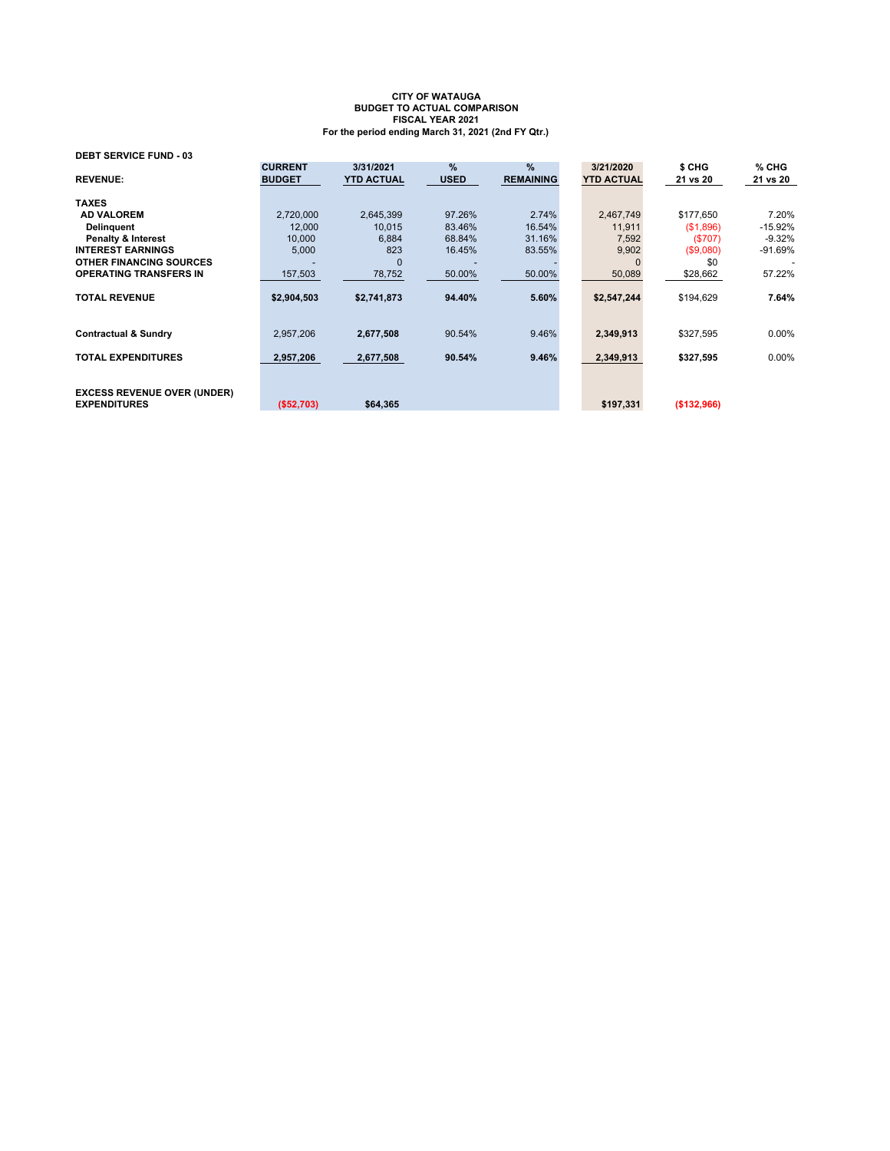| <b>DEBT SERVICE FUND - 03</b>                             |                                 |                                |                     |                          |                                |                    |                   |
|-----------------------------------------------------------|---------------------------------|--------------------------------|---------------------|--------------------------|--------------------------------|--------------------|-------------------|
| <b>REVENUE:</b>                                           | <b>CURRENT</b><br><b>BUDGET</b> | 3/31/2021<br><b>YTD ACTUAL</b> | $\%$<br><b>USED</b> | $\%$<br><b>REMAINING</b> | 3/21/2020<br><b>YTD ACTUAL</b> | \$ CHG<br>21 vs 20 | % CHG<br>21 vs 20 |
| <b>TAXES</b>                                              |                                 |                                |                     |                          |                                |                    |                   |
| <b>AD VALOREM</b>                                         | 2,720,000                       | 2,645,399                      | 97.26%              | 2.74%                    | 2,467,749                      | \$177,650          | 7.20%             |
| <b>Delinguent</b>                                         | 12,000                          | 10.015                         | 83.46%              | 16.54%                   | 11,911                         | (\$1,896)          | -15.92%           |
| <b>Penalty &amp; Interest</b>                             | 10,000                          | 6,884                          | 68.84%              | 31.16%                   | 7,592                          | (\$707)            | $-9.32%$          |
| <b>INTEREST EARNINGS</b>                                  | 5,000                           | 823                            | 16.45%              | 83.55%                   | 9,902                          | (\$9,080)          | -91.69%           |
| <b>OTHER FINANCING SOURCES</b>                            |                                 | $\Omega$                       |                     |                          |                                | \$0                |                   |
| <b>OPERATING TRANSFERS IN</b>                             | 157,503                         | 78,752                         | 50.00%              | 50.00%                   | 50,089                         | \$28,662           | 57.22%            |
| <b>TOTAL REVENUE</b>                                      | \$2,904,503                     | \$2,741,873                    | 94.40%              | 5.60%                    | \$2,547,244                    | \$194,629          | 7.64%             |
| <b>Contractual &amp; Sundry</b>                           | 2,957,206                       | 2,677,508                      | 90.54%              | 9.46%                    | 2,349,913                      | \$327,595          | 0.00%             |
| <b>TOTAL EXPENDITURES</b>                                 | 2,957,206                       | 2,677,508                      | 90.54%              | 9.46%                    | 2.349.913                      | \$327,595          | $0.00\%$          |
| <b>EXCESS REVENUE OVER (UNDER)</b><br><b>EXPENDITURES</b> | (S52.703)                       | \$64.365                       |                     |                          | \$197.331                      | (\$132,966)        |                   |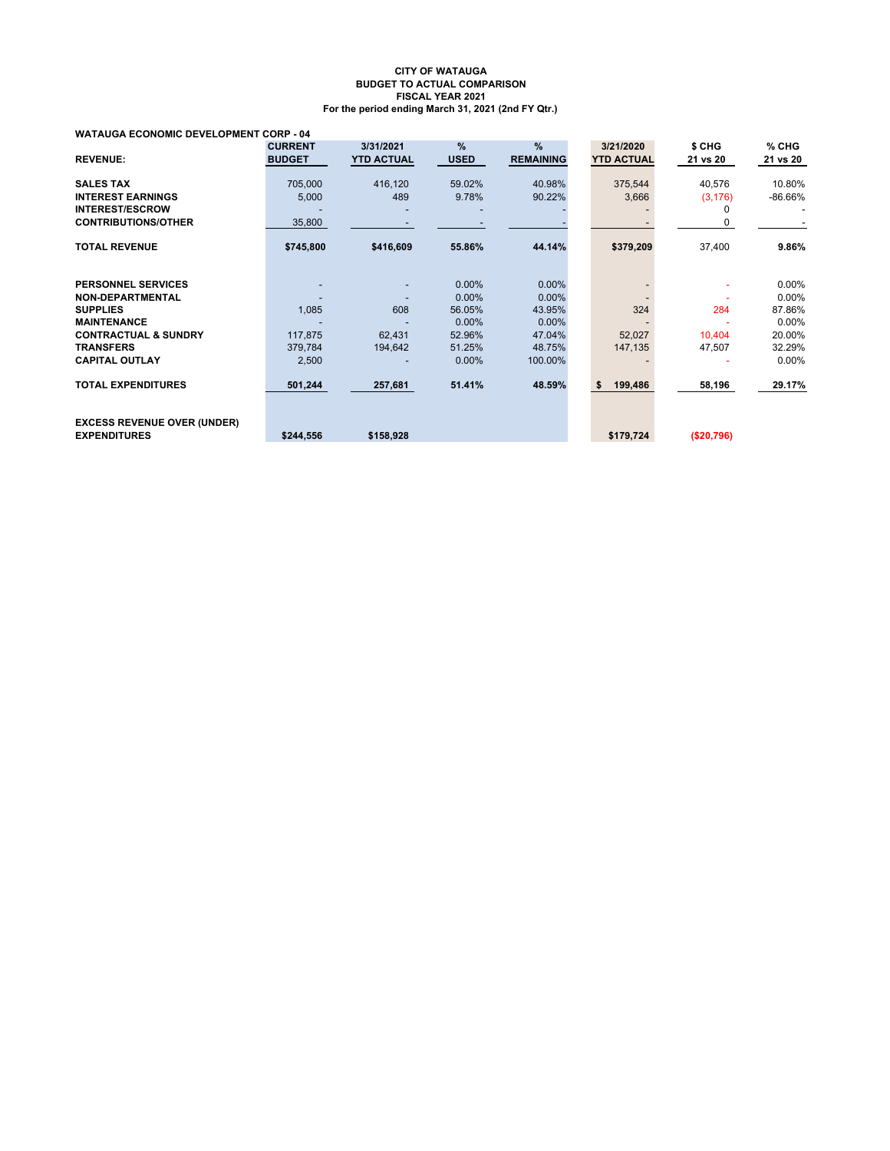#### **WATAUGA ECONOMIC DEVELOPMENT CORP - 04**

|                                                           | <b>CURRENT</b> | 3/31/2021         | $\frac{9}{6}$ | %                | 3/21/2020         | \$ CHG     | % CHG    |
|-----------------------------------------------------------|----------------|-------------------|---------------|------------------|-------------------|------------|----------|
| <b>REVENUE:</b>                                           | <b>BUDGET</b>  | <b>YTD ACTUAL</b> | <b>USED</b>   | <b>REMAINING</b> | <b>YTD ACTUAL</b> | 21 vs 20   | 21 vs 20 |
| <b>SALES TAX</b>                                          | 705,000        | 416,120           | 59.02%        | 40.98%           | 375,544           | 40,576     | 10.80%   |
| <b>INTEREST EARNINGS</b>                                  | 5,000          | 489               | 9.78%         | 90.22%           | 3,666             | (3, 176)   | -86.66%  |
| <b>INTEREST/ESCROW</b>                                    |                |                   |               |                  |                   |            |          |
| <b>CONTRIBUTIONS/OTHER</b>                                | 35,800         |                   |               |                  |                   |            |          |
| <b>TOTAL REVENUE</b>                                      | \$745,800      | \$416,609         | 55.86%        | 44.14%           | \$379,209         | 37,400     | 9.86%    |
| <b>PERSONNEL SERVICES</b>                                 |                |                   | 0.00%         | $0.00\%$         |                   |            | $0.00\%$ |
| <b>NON-DEPARTMENTAL</b>                                   |                |                   | $0.00\%$      | $0.00\%$         |                   |            | $0.00\%$ |
| <b>SUPPLIES</b>                                           | 1,085          | 608               | 56.05%        | 43.95%           | 324               | 284        | 87.86%   |
| <b>MAINTENANCE</b>                                        |                |                   | $0.00\%$      | $0.00\%$         |                   |            | $0.00\%$ |
| <b>CONTRACTUAL &amp; SUNDRY</b>                           | 117,875        | 62,431            | 52.96%        | 47.04%           | 52,027            | 10,404     | 20.00%   |
| <b>TRANSFERS</b>                                          | 379,784        | 194,642           | 51.25%        | 48.75%           | 147,135           | 47,507     | 32.29%   |
| <b>CAPITAL OUTLAY</b>                                     | 2,500          |                   | 0.00%         | 100.00%          |                   |            | 0.00%    |
| <b>TOTAL EXPENDITURES</b>                                 | 501,244        | 257,681           | 51.41%        | 48.59%           | \$<br>199,486     | 58,196     | 29.17%   |
| <b>EXCESS REVENUE OVER (UNDER)</b><br><b>EXPENDITURES</b> | \$244,556      | \$158,928         |               |                  | \$179,724         | (\$20,796) |          |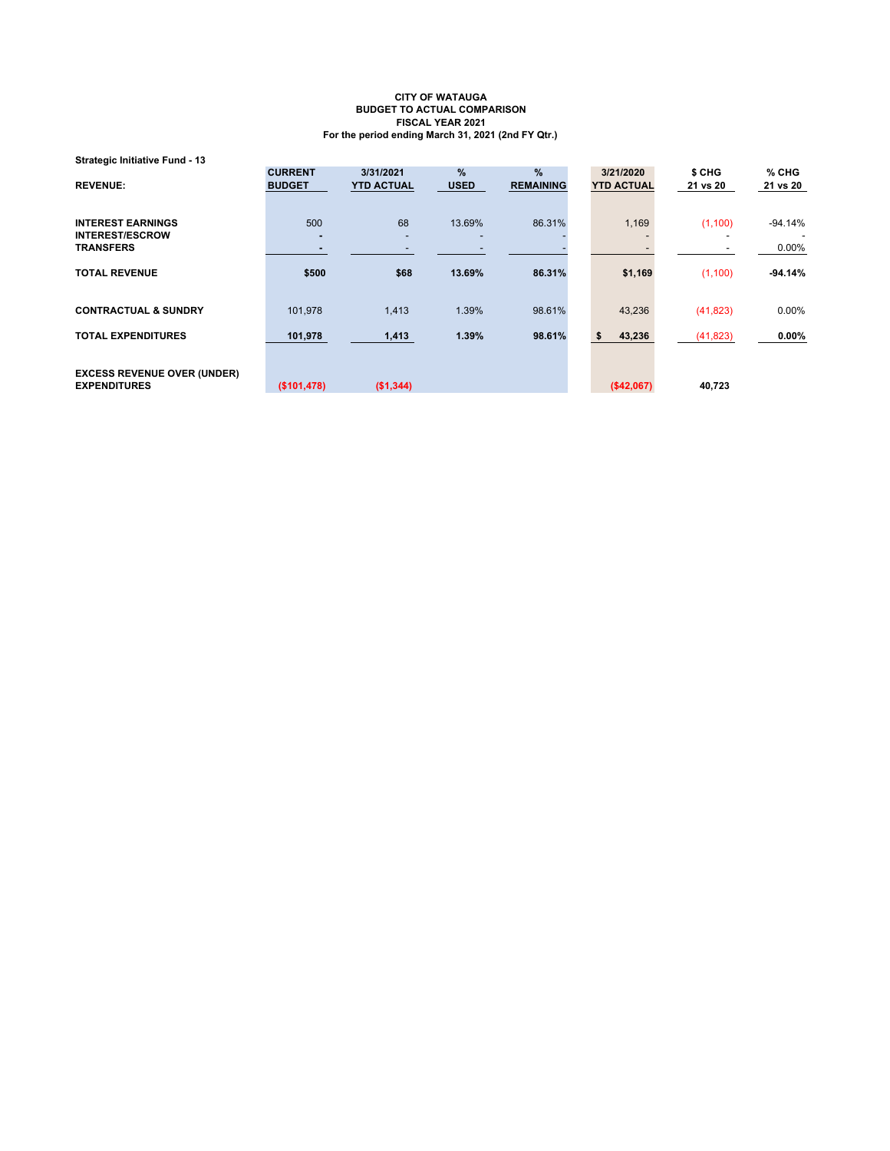**Strategic Initiative Fund - 13**

|                                    | <b>CURRENT</b>           | 3/31/2021         | $\%$        | %                | 3/21/2020         | \$ CHG    | % CHG     |
|------------------------------------|--------------------------|-------------------|-------------|------------------|-------------------|-----------|-----------|
| <b>REVENUE:</b>                    | <b>BUDGET</b>            | <b>YTD ACTUAL</b> | <b>USED</b> | <b>REMAINING</b> | <b>YTD ACTUAL</b> | 21 vs 20  | 21 vs 20  |
|                                    |                          |                   |             |                  |                   |           |           |
| <b>INTEREST EARNINGS</b>           | 500                      | 68                | 13.69%      | 86.31%           | 1,169             | (1, 100)  | $-94.14%$ |
| <b>INTEREST/ESCROW</b>             | $\overline{\phantom{a}}$ |                   |             |                  |                   |           |           |
| <b>TRANSFERS</b>                   |                          |                   |             |                  |                   |           | $0.00\%$  |
| <b>TOTAL REVENUE</b>               | \$500                    | \$68              | 13.69%      | 86.31%           | \$1,169           | (1, 100)  | $-94.14%$ |
|                                    |                          |                   |             |                  |                   |           |           |
|                                    |                          |                   |             |                  |                   |           |           |
| <b>CONTRACTUAL &amp; SUNDRY</b>    | 101,978                  | 1,413             | 1.39%       | 98.61%           | 43,236            | (41, 823) | $0.00\%$  |
| <b>TOTAL EXPENDITURES</b>          | 101,978                  | 1,413             | 1.39%       | 98.61%           | 43,236            | (41, 823) | $0.00\%$  |
|                                    |                          |                   |             |                  |                   |           |           |
|                                    |                          |                   |             |                  |                   |           |           |
| <b>EXCESS REVENUE OVER (UNDER)</b> |                          |                   |             |                  |                   |           |           |
| <b>EXPENDITURES</b>                | (\$101,478)              | (\$1,344)         |             |                  | (\$42,067)        | 40,723    |           |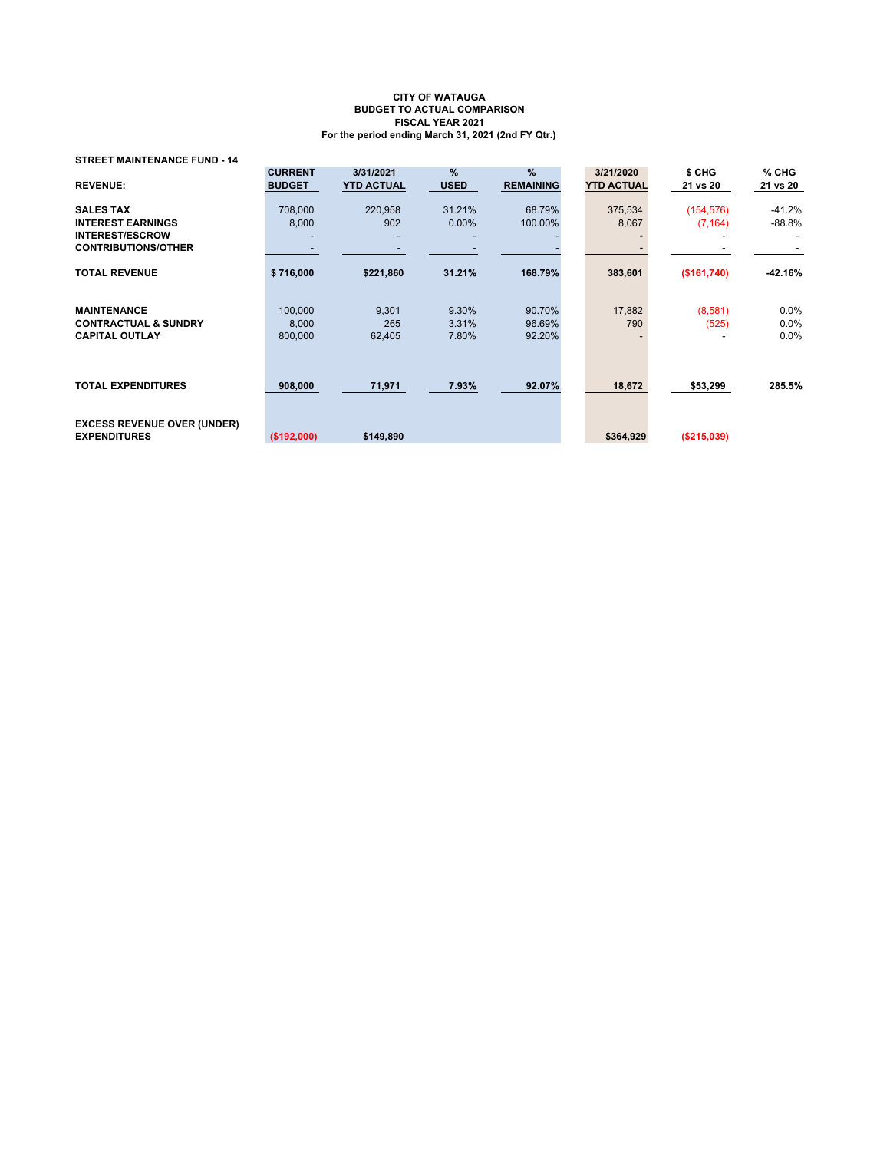**STREET MAINTENANCE FUND - 14**

| <b>REVENUE:</b>                                           | <b>CURRENT</b><br><b>BUDGET</b> | 3/31/2021<br><b>YTD ACTUAL</b> | $\%$<br><b>USED</b> | $\%$<br><b>REMAINING</b> | 3/21/2020<br><b>YTD ACTUAL</b> | \$ CHG<br>21 vs 20 | $%$ CHG<br>21 vs 20 |
|-----------------------------------------------------------|---------------------------------|--------------------------------|---------------------|--------------------------|--------------------------------|--------------------|---------------------|
| <b>SALES TAX</b>                                          | 708,000                         | 220.958                        | 31.21%              | 68.79%                   | 375,534                        | (154, 576)         | $-41.2%$            |
| <b>INTEREST EARNINGS</b>                                  | 8,000                           | 902                            | $0.00\%$            | 100.00%                  | 8,067                          | (7, 164)           | $-88.8%$            |
| <b>INTEREST/ESCROW</b>                                    |                                 |                                |                     |                          |                                |                    |                     |
| <b>CONTRIBUTIONS/OTHER</b>                                |                                 |                                |                     |                          |                                |                    |                     |
| <b>TOTAL REVENUE</b>                                      | \$716,000                       | \$221,860                      | 31.21%              | 168.79%                  | 383,601                        | (\$161,740)        | -42.16%             |
| <b>MAINTENANCE</b>                                        | 100,000                         | 9,301                          | 9.30%               | 90.70%                   | 17,882                         | (8,581)            | $0.0\%$             |
| <b>CONTRACTUAL &amp; SUNDRY</b>                           | 8,000                           | 265                            | 3.31%               | 96.69%                   | 790                            | (525)              | $0.0\%$             |
| <b>CAPITAL OUTLAY</b>                                     | 800,000                         | 62,405                         | 7.80%               | 92.20%                   |                                |                    | 0.0%                |
| <b>TOTAL EXPENDITURES</b>                                 | 908,000                         | 71,971                         | 7.93%               | 92.07%                   | 18,672                         | \$53,299           | 285.5%              |
| <b>EXCESS REVENUE OVER (UNDER)</b><br><b>EXPENDITURES</b> | (\$192,000)                     | \$149,890                      |                     |                          | \$364,929                      | ( \$215,039)       |                     |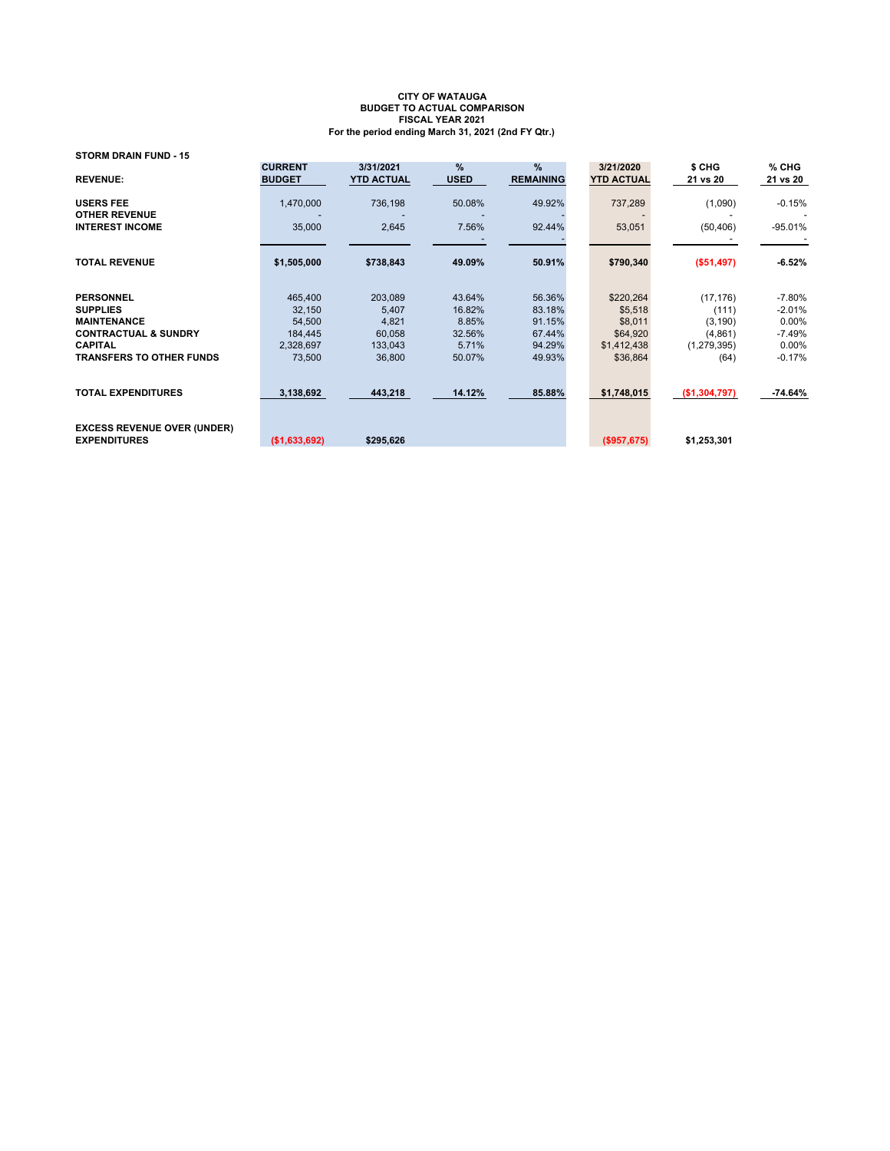| <b>STORM DRAIN FUND - 15</b>                              |                                 |                                |                     |                                   |                                |                    |                   |
|-----------------------------------------------------------|---------------------------------|--------------------------------|---------------------|-----------------------------------|--------------------------------|--------------------|-------------------|
| <b>REVENUE:</b>                                           | <b>CURRENT</b><br><b>BUDGET</b> | 3/31/2021<br><b>YTD ACTUAL</b> | $\%$<br><b>USED</b> | $\frac{9}{6}$<br><b>REMAINING</b> | 3/21/2020<br><b>YTD ACTUAL</b> | \$ CHG<br>21 vs 20 | % CHG<br>21 vs 20 |
| <b>USERS FEE</b>                                          | 1,470,000                       | 736,198                        | 50.08%              | 49.92%                            | 737,289                        | (1,090)            | $-0.15%$          |
| <b>OTHER REVENUE</b><br><b>INTEREST INCOME</b>            | 35,000                          | 2,645                          | 7.56%               | 92.44%                            | 53,051                         | (50, 406)          | $-95.01%$         |
|                                                           |                                 |                                |                     |                                   |                                |                    |                   |
| <b>TOTAL REVENUE</b>                                      | \$1,505,000                     | \$738,843                      | 49.09%              | 50.91%                            | \$790,340                      | (\$51,497)         | $-6.52%$          |
| <b>PERSONNEL</b>                                          | 465,400                         | 203,089                        | 43.64%              | 56.36%                            | \$220,264                      | (17, 176)          | $-7.80%$          |
| <b>SUPPLIES</b>                                           | 32,150                          | 5,407                          | 16.82%              | 83.18%                            | \$5,518                        | (111)              | $-2.01%$          |
| <b>MAINTENANCE</b>                                        | 54,500                          | 4,821                          | 8.85%               | 91.15%                            | \$8,011                        | (3, 190)           | 0.00%             |
| <b>CONTRACTUAL &amp; SUNDRY</b>                           | 184,445                         | 60,058                         | 32.56%              | 67.44%                            | \$64,920                       | (4,861)            | $-7.49%$          |
| <b>CAPITAL</b>                                            | 2,328,697                       | 133,043                        | 5.71%               | 94.29%                            | \$1,412,438                    | (1,279,395)        | $0.00\%$          |
| <b>TRANSFERS TO OTHER FUNDS</b>                           | 73,500                          | 36,800                         | 50.07%              | 49.93%                            | \$36,864                       | (64)               | $-0.17%$          |
| <b>TOTAL EXPENDITURES</b>                                 | 3,138,692                       | 443,218                        | 14.12%              | 85.88%                            | \$1,748,015                    | ( \$1,304,797)     | $-74.64%$         |
| <b>EXCESS REVENUE OVER (UNDER)</b><br><b>EXPENDITURES</b> | (\$1,633,692)                   | \$295,626                      |                     |                                   | (\$957,675)                    | \$1,253,301        |                   |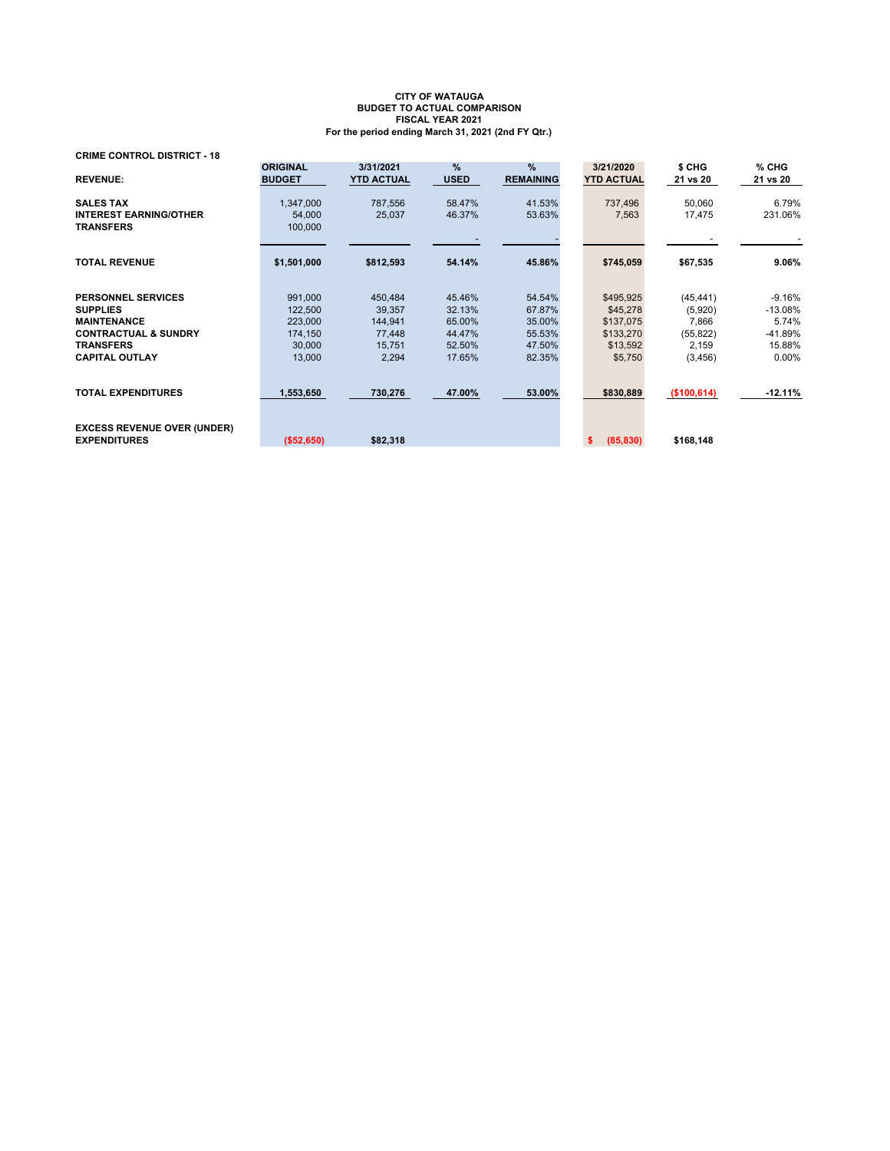| <b>CRIME CONTROL DISTRICT - 18</b>                        |                                  |                                |                  |                                   |                                |                    |                   |
|-----------------------------------------------------------|----------------------------------|--------------------------------|------------------|-----------------------------------|--------------------------------|--------------------|-------------------|
| <b>REVENUE:</b>                                           | <b>ORIGINAL</b><br><b>BUDGET</b> | 3/31/2021<br><b>YTD ACTUAL</b> | %<br><b>USED</b> | $\frac{9}{6}$<br><b>REMAINING</b> | 3/21/2020<br><b>YTD ACTUAL</b> | \$ CHG<br>21 vs 20 | % CHG<br>21 vs 20 |
| <b>SALES TAX</b>                                          | 1,347,000                        | 787,556                        | 58.47%           | 41.53%                            | 737,496                        | 50,060             | 6.79%             |
| <b>INTEREST EARNING/OTHER</b>                             | 54,000                           | 25,037                         | 46.37%           | 53.63%                            | 7,563                          | 17,475             | 231.06%           |
| <b>TRANSFERS</b>                                          | 100,000                          |                                |                  |                                   |                                |                    |                   |
|                                                           |                                  |                                |                  |                                   |                                |                    |                   |
| <b>TOTAL REVENUE</b>                                      | \$1,501,000                      | \$812,593                      | 54.14%           | 45.86%                            | \$745,059                      | \$67,535           | $9.06\%$          |
|                                                           |                                  |                                |                  |                                   |                                |                    |                   |
| <b>PERSONNEL SERVICES</b>                                 | 991,000                          | 450,484                        | 45.46%           | 54.54%                            | \$495,925                      | (45, 441)          | $-9.16%$          |
| <b>SUPPLIES</b>                                           | 122,500                          | 39,357                         | 32.13%           | 67.87%                            | \$45,278                       | (5,920)            | $-13.08%$         |
| <b>MAINTENANCE</b>                                        | 223,000                          | 144,941                        | 65.00%           | 35.00%                            | \$137,075                      | 7,866              | 5.74%             |
| <b>CONTRACTUAL &amp; SUNDRY</b>                           | 174,150                          | 77,448                         | 44.47%           | 55.53%                            | \$133,270                      | (55, 822)          | -41.89%           |
| <b>TRANSFERS</b>                                          | 30,000                           | 15,751                         | 52.50%           | 47.50%                            | \$13,592                       | 2,159              | 15.88%            |
| <b>CAPITAL OUTLAY</b>                                     | 13,000                           | 2,294                          | 17.65%           | 82.35%                            | \$5,750                        | (3, 456)           | $0.00\%$          |
| <b>TOTAL EXPENDITURES</b>                                 | 1,553,650                        | 730,276                        | 47.00%           | 53.00%                            | \$830,889                      | (\$100, 614)       | $-12.11%$         |
| <b>EXCESS REVENUE OVER (UNDER)</b><br><b>EXPENDITURES</b> | ( \$52,650)                      | \$82,318                       |                  |                                   | (85, 830)<br>s.                | \$168,148          |                   |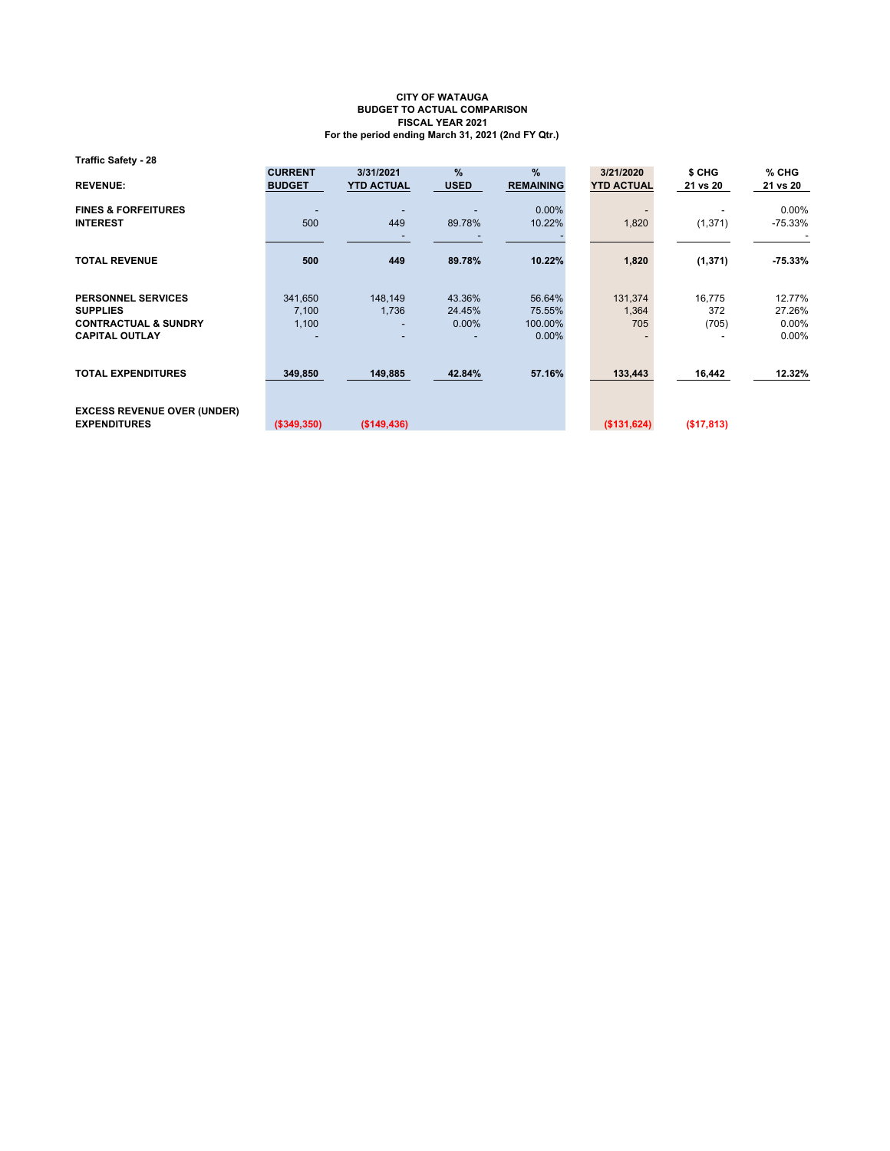**Traffic Safety - 28**

| <b>REVENUE:</b>                                                                                          | <b>CURRENT</b><br><b>BUDGET</b> | 3/31/2021<br><b>YTD ACTUAL</b> | $\%$<br><b>USED</b>          | %<br><b>REMAINING</b>                   | 3/21/2020<br><b>YTD ACTUAL</b> | \$ CHG<br>21 vs 20     | $%$ CHG<br>21 vs 20                      |
|----------------------------------------------------------------------------------------------------------|---------------------------------|--------------------------------|------------------------------|-----------------------------------------|--------------------------------|------------------------|------------------------------------------|
| <b>FINES &amp; FORFEITURES</b><br><b>INTEREST</b>                                                        | 500                             | 449                            | 89.78%                       | $0.00\%$<br>10.22%                      | 1,820                          | (1, 371)               | $0.00\%$<br>$-75.33\%$                   |
| <b>TOTAL REVENUE</b>                                                                                     | 500                             | 449                            | 89.78%                       | 10.22%                                  | 1,820                          | (1, 371)               | $-75.33%$                                |
| <b>PERSONNEL SERVICES</b><br><b>SUPPLIES</b><br><b>CONTRACTUAL &amp; SUNDRY</b><br><b>CAPITAL OUTLAY</b> | 341,650<br>7,100<br>1,100       | 148,149<br>1,736               | 43.36%<br>24.45%<br>$0.00\%$ | 56.64%<br>75.55%<br>100.00%<br>$0.00\%$ | 131,374<br>1,364<br>705        | 16,775<br>372<br>(705) | 12.77%<br>27.26%<br>$0.00\%$<br>$0.00\%$ |
| <b>TOTAL EXPENDITURES</b>                                                                                | 349,850                         | 149,885                        | 42.84%                       | 57.16%                                  | 133,443                        | 16,442                 | 12.32%                                   |
| <b>EXCESS REVENUE OVER (UNDER)</b><br><b>EXPENDITURES</b>                                                | (\$349,350)                     | (\$149,436)                    |                              |                                         | (\$131,624)                    | (\$17,813)             |                                          |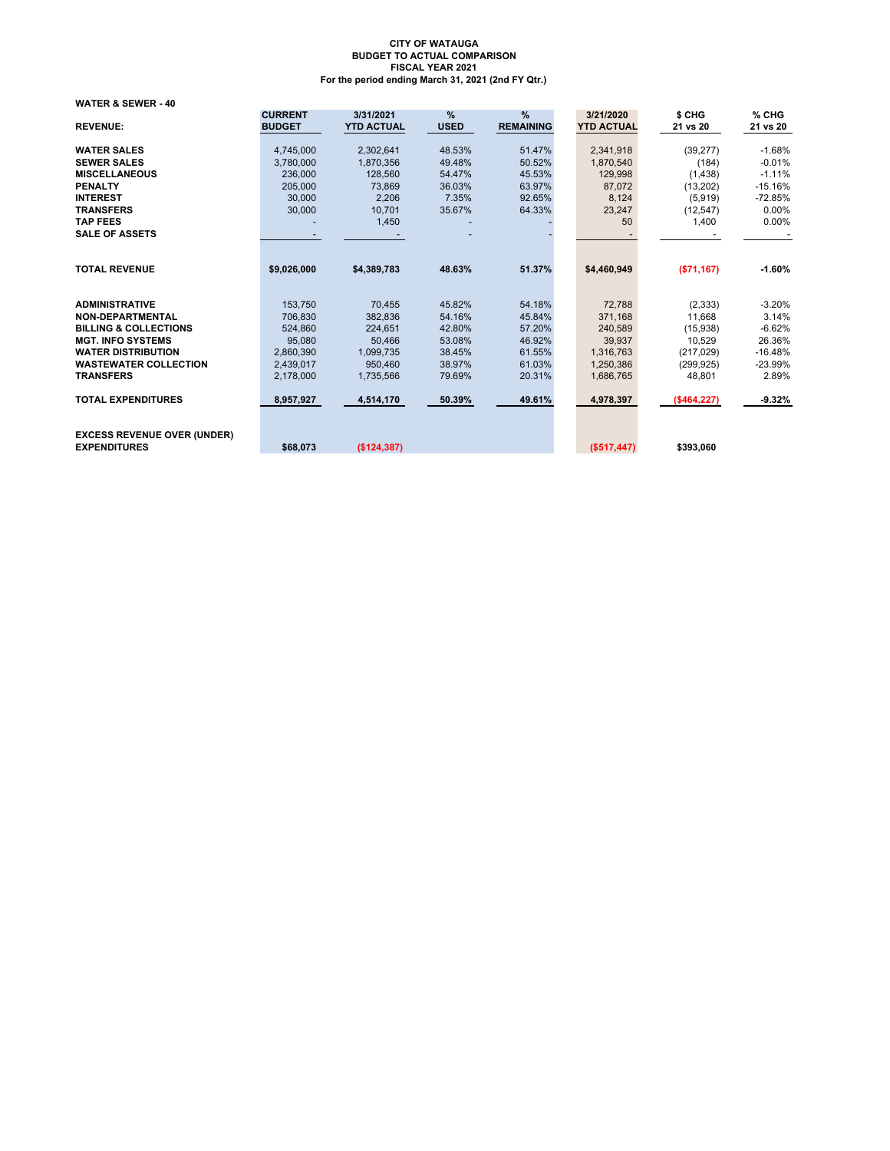**WATER & SEWER - 40**

| <b>REVENUE:</b>                                           | <b>CURRENT</b><br><b>BUDGET</b> | 3/31/2021<br><b>YTD ACTUAL</b> | %<br><b>USED</b> | %<br><b>REMAINING</b> | 3/21/2020<br><b>YTD ACTUAL</b> | \$ CHG<br>21 vs 20 | % CHG<br>21 vs 20 |
|-----------------------------------------------------------|---------------------------------|--------------------------------|------------------|-----------------------|--------------------------------|--------------------|-------------------|
|                                                           |                                 |                                |                  |                       |                                |                    |                   |
| <b>WATER SALES</b>                                        | 4,745,000                       | 2,302,641                      | 48.53%           | 51.47%                | 2,341,918                      | (39, 277)          | $-1.68%$          |
| <b>SEWER SALES</b>                                        | 3,780,000                       | 1.870.356                      | 49.48%           | 50.52%                | 1.870.540                      | (184)              | $-0.01%$          |
| <b>MISCELLANEOUS</b>                                      | 236,000                         | 128,560                        | 54.47%           | 45.53%                | 129,998                        | (1, 438)           | $-1.11%$          |
| <b>PENALTY</b>                                            | 205,000                         | 73.869                         | 36.03%           | 63.97%                | 87,072                         | (13,202)           | $-15.16%$         |
| <b>INTEREST</b>                                           | 30,000                          | 2,206                          | 7.35%            | 92.65%                | 8,124                          | (5,919)            | $-72.85%$         |
| <b>TRANSFERS</b>                                          | 30,000                          | 10.701                         | 35.67%           | 64.33%                | 23,247                         | (12, 547)          | 0.00%             |
| <b>TAP FEES</b>                                           |                                 | 1,450                          |                  |                       | 50                             | 1,400              | $0.00\%$          |
| <b>SALE OF ASSETS</b>                                     |                                 |                                |                  |                       |                                |                    |                   |
|                                                           |                                 |                                |                  |                       |                                |                    |                   |
| <b>TOTAL REVENUE</b>                                      | \$9,026,000                     | \$4,389,783                    | 48.63%           | 51.37%                | \$4,460,949                    | ( \$71, 167)       | $-1.60%$          |
| <b>ADMINISTRATIVE</b>                                     | 153,750                         | 70,455                         | 45.82%           | 54.18%                | 72,788                         | (2, 333)           | $-3.20%$          |
| <b>NON-DEPARTMENTAL</b>                                   | 706.830                         | 382.836                        | 54.16%           | 45.84%                | 371.168                        | 11.668             | 3.14%             |
| <b>BILLING &amp; COLLECTIONS</b>                          | 524,860                         | 224,651                        | 42.80%           | 57.20%                | 240,589                        | (15,938)           | $-6.62%$          |
| <b>MGT. INFO SYSTEMS</b>                                  | 95.080                          | 50.466                         | 53.08%           | 46.92%                | 39.937                         | 10.529             | 26.36%            |
| <b>WATER DISTRIBUTION</b>                                 | 2,860,390                       | 1,099,735                      | 38.45%           | 61.55%                | 1,316,763                      | (217, 029)         | $-16.48%$         |
| <b>WASTEWATER COLLECTION</b>                              | 2.439.017                       | 950.460                        | 38.97%           | 61.03%                | 1.250.386                      | (299, 925)         | $-23.99%$         |
| <b>TRANSFERS</b>                                          | 2.178.000                       | 1.735.566                      | 79.69%           | 20.31%                | 1,686,765                      | 48.801             | 2.89%             |
| <b>TOTAL EXPENDITURES</b>                                 | 8,957,927                       | 4,514,170                      | 50.39%           | 49.61%                | 4,978,397                      | (\$464, 227)       | $-9.32%$          |
| <b>EXCESS REVENUE OVER (UNDER)</b><br><b>EXPENDITURES</b> | \$68,073                        | (S124.387)                     |                  |                       | (\$517,447)                    | \$393,060          |                   |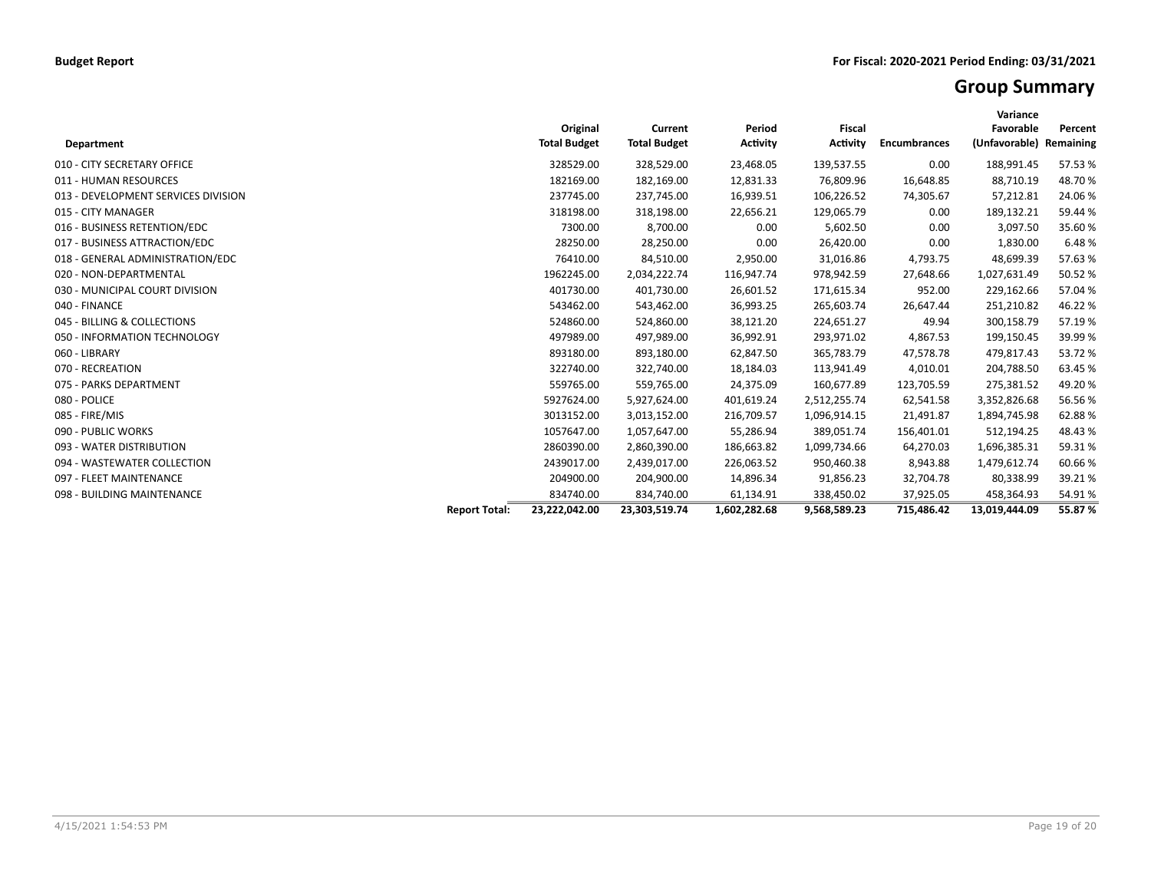## **Group Summary**

| <b>Department</b>                   |                      | Original<br><b>Total Budget</b> | Current<br><b>Total Budget</b> | Period<br><b>Activity</b> | <b>Fiscal</b><br><b>Activity</b> | <b>Encumbrances</b> | Variance<br>Favorable<br>(Unfavorable) Remaining | Percent |
|-------------------------------------|----------------------|---------------------------------|--------------------------------|---------------------------|----------------------------------|---------------------|--------------------------------------------------|---------|
| 010 - CITY SECRETARY OFFICE         |                      | 328529.00                       | 328,529.00                     | 23,468.05                 | 139,537.55                       | 0.00                | 188,991.45                                       | 57.53 % |
| 011 - HUMAN RESOURCES               |                      | 182169.00                       | 182,169.00                     | 12,831.33                 | 76,809.96                        | 16,648.85           | 88,710.19                                        | 48.70%  |
| 013 - DEVELOPMENT SERVICES DIVISION |                      | 237745.00                       | 237,745.00                     | 16,939.51                 | 106,226.52                       | 74,305.67           | 57,212.81                                        | 24.06%  |
| 015 - CITY MANAGER                  |                      | 318198.00                       | 318,198.00                     | 22,656.21                 | 129,065.79                       | 0.00                | 189,132.21                                       | 59.44 % |
| 016 - BUSINESS RETENTION/EDC        |                      | 7300.00                         | 8,700.00                       | 0.00                      | 5,602.50                         | 0.00                | 3,097.50                                         | 35.60%  |
| 017 - BUSINESS ATTRACTION/EDC       |                      | 28250.00                        | 28,250.00                      | 0.00                      | 26,420.00                        | 0.00                | 1,830.00                                         | 6.48%   |
| 018 - GENERAL ADMINISTRATION/EDC    |                      | 76410.00                        | 84,510.00                      | 2,950.00                  | 31,016.86                        | 4,793.75            | 48,699.39                                        | 57.63%  |
| 020 - NON-DEPARTMENTAL              |                      | 1962245.00                      | 2,034,222.74                   | 116,947.74                | 978,942.59                       | 27,648.66           | 1,027,631.49                                     | 50.52 % |
| 030 - MUNICIPAL COURT DIVISION      |                      | 401730.00                       | 401,730.00                     | 26,601.52                 | 171,615.34                       | 952.00              | 229,162.66                                       | 57.04%  |
| 040 - FINANCE                       |                      | 543462.00                       | 543,462.00                     | 36,993.25                 | 265,603.74                       | 26,647.44           | 251,210.82                                       | 46.22%  |
| 045 - BILLING & COLLECTIONS         |                      | 524860.00                       | 524,860.00                     | 38,121.20                 | 224,651.27                       | 49.94               | 300,158.79                                       | 57.19%  |
| 050 - INFORMATION TECHNOLOGY        |                      | 497989.00                       | 497,989.00                     | 36,992.91                 | 293,971.02                       | 4,867.53            | 199,150.45                                       | 39.99 % |
| 060 - LIBRARY                       |                      | 893180.00                       | 893,180.00                     | 62,847.50                 | 365,783.79                       | 47,578.78           | 479,817.43                                       | 53.72 % |
| 070 - RECREATION                    |                      | 322740.00                       | 322,740.00                     | 18,184.03                 | 113,941.49                       | 4,010.01            | 204,788.50                                       | 63.45 % |
| 075 - PARKS DEPARTMENT              |                      | 559765.00                       | 559,765.00                     | 24,375.09                 | 160,677.89                       | 123,705.59          | 275,381.52                                       | 49.20%  |
| 080 - POLICE                        |                      | 5927624.00                      | 5,927,624.00                   | 401,619.24                | 2,512,255.74                     | 62,541.58           | 3,352,826.68                                     | 56.56%  |
| 085 - FIRE/MIS                      |                      | 3013152.00                      | 3,013,152.00                   | 216,709.57                | 1,096,914.15                     | 21,491.87           | 1,894,745.98                                     | 62.88%  |
| 090 - PUBLIC WORKS                  |                      | 1057647.00                      | 1,057,647.00                   | 55,286.94                 | 389,051.74                       | 156,401.01          | 512,194.25                                       | 48.43%  |
| 093 - WATER DISTRIBUTION            |                      | 2860390.00                      | 2,860,390.00                   | 186,663.82                | 1,099,734.66                     | 64,270.03           | 1,696,385.31                                     | 59.31%  |
| 094 - WASTEWATER COLLECTION         |                      | 2439017.00                      | 2,439,017.00                   | 226,063.52                | 950,460.38                       | 8,943.88            | 1,479,612.74                                     | 60.66%  |
| 097 - FLEET MAINTENANCE             |                      | 204900.00                       | 204,900.00                     | 14,896.34                 | 91,856.23                        | 32,704.78           | 80,338.99                                        | 39.21%  |
| 098 - BUILDING MAINTENANCE          |                      | 834740.00                       | 834,740.00                     | 61,134.91                 | 338,450.02                       | 37,925.05           | 458,364.93                                       | 54.91%  |
|                                     | <b>Report Total:</b> | 23,222,042.00                   | 23,303,519.74                  | 1,602,282.68              | 9,568,589.23                     | 715,486.42          | 13,019,444.09                                    | 55.87%  |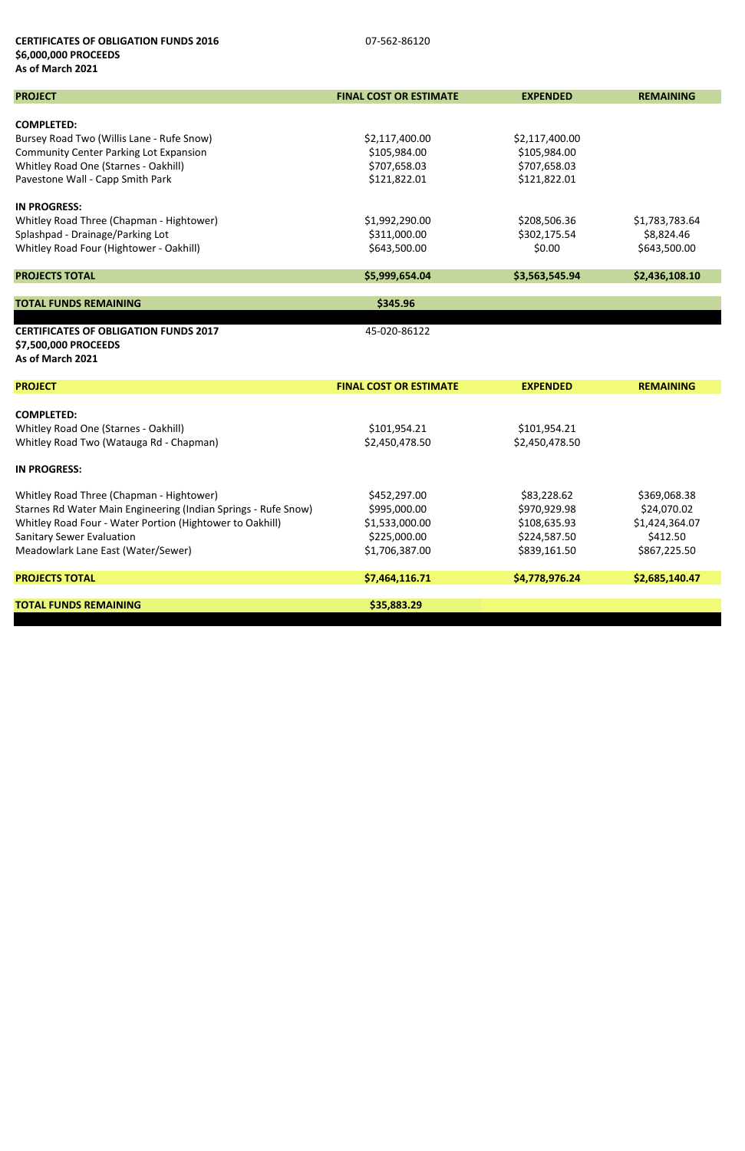### **CERTIFICATES OF OBLIGATION FUNDS 2016 DERIVATION 51 CONTRACT AT A CONTRACT OF OUT-562-86120 \$6,000,000 PROCEEDS As of March 2021**

| <b>PROJECT</b>                                                 | <b>FINAL COST OR ESTIMATE</b> | <b>EXPENDED</b> | <b>REMAINING</b> |
|----------------------------------------------------------------|-------------------------------|-----------------|------------------|
|                                                                |                               |                 |                  |
| <b>COMPLETED:</b><br>Bursey Road Two (Willis Lane - Rufe Snow) | \$2,117,400.00                | \$2,117,400.00  |                  |
| <b>Community Center Parking Lot Expansion</b>                  | \$105,984.00                  | \$105,984.00    |                  |
| Whitley Road One (Starnes - Oakhill)                           | \$707,658.03                  | \$707,658.03    |                  |
| Pavestone Wall - Capp Smith Park                               | \$121,822.01                  | \$121,822.01    |                  |
|                                                                |                               |                 |                  |
| <b>IN PROGRESS:</b>                                            |                               |                 |                  |
| Whitley Road Three (Chapman - Hightower)                       | \$1,992,290.00                | \$208,506.36    | \$1,783,783.64   |
| Splashpad - Drainage/Parking Lot                               | \$311,000.00                  | \$302,175.54    | \$8,824.46       |
| Whitley Road Four (Hightower - Oakhill)                        | \$643,500.00                  | \$0.00          | \$643,500.00     |
|                                                                |                               |                 |                  |
| <b>PROJECTS TOTAL</b>                                          | \$5,999,654.04                | \$3,563,545.94  | \$2,436,108.10   |
|                                                                |                               |                 |                  |
| <b>TOTAL FUNDS REMAINING</b>                                   | \$345.96                      |                 |                  |
| <b>CERTIFICATES OF OBLIGATION FUNDS 2017</b>                   | 45-020-86122                  |                 |                  |
| \$7,500,000 PROCEEDS                                           |                               |                 |                  |
| As of March 2021                                               |                               |                 |                  |
|                                                                |                               |                 |                  |
| <b>PROJECT</b>                                                 | <b>FINAL COST OR ESTIMATE</b> | <b>EXPENDED</b> | <b>REMAINING</b> |
|                                                                |                               |                 |                  |
| <b>COMPLETED:</b>                                              |                               |                 |                  |
| Whitley Road One (Starnes - Oakhill)                           | \$101,954.21                  | \$101,954.21    |                  |
| Whitley Road Two (Watauga Rd - Chapman)                        | \$2,450,478.50                | \$2,450,478.50  |                  |
| <b>IN PROGRESS:</b>                                            |                               |                 |                  |
|                                                                |                               |                 |                  |
| Whitley Road Three (Chapman - Hightower)                       | \$452,297.00                  | \$83,228.62     | \$369,068.38     |
| Starnes Rd Water Main Engineering (Indian Springs - Rufe Snow) | \$995,000.00                  | \$970,929.98    | \$24,070.02      |
| Whitley Road Four - Water Portion (Hightower to Oakhill)       | \$1,533,000.00                | \$108,635.93    | \$1,424,364.07   |
| <b>Sanitary Sewer Evaluation</b>                               | \$225,000.00                  | \$224,587.50    | \$412.50         |
| Meadowlark Lane East (Water/Sewer)                             | \$1,706,387.00                | \$839,161.50    | \$867,225.50     |
| <b>PROJECTS TOTAL</b>                                          | \$7,464,116.71                | \$4,778,976.24  | \$2,685,140.47   |
|                                                                |                               |                 |                  |
| <b>TOTAL FUNDS REMAINING</b>                                   | \$35,883.29                   |                 |                  |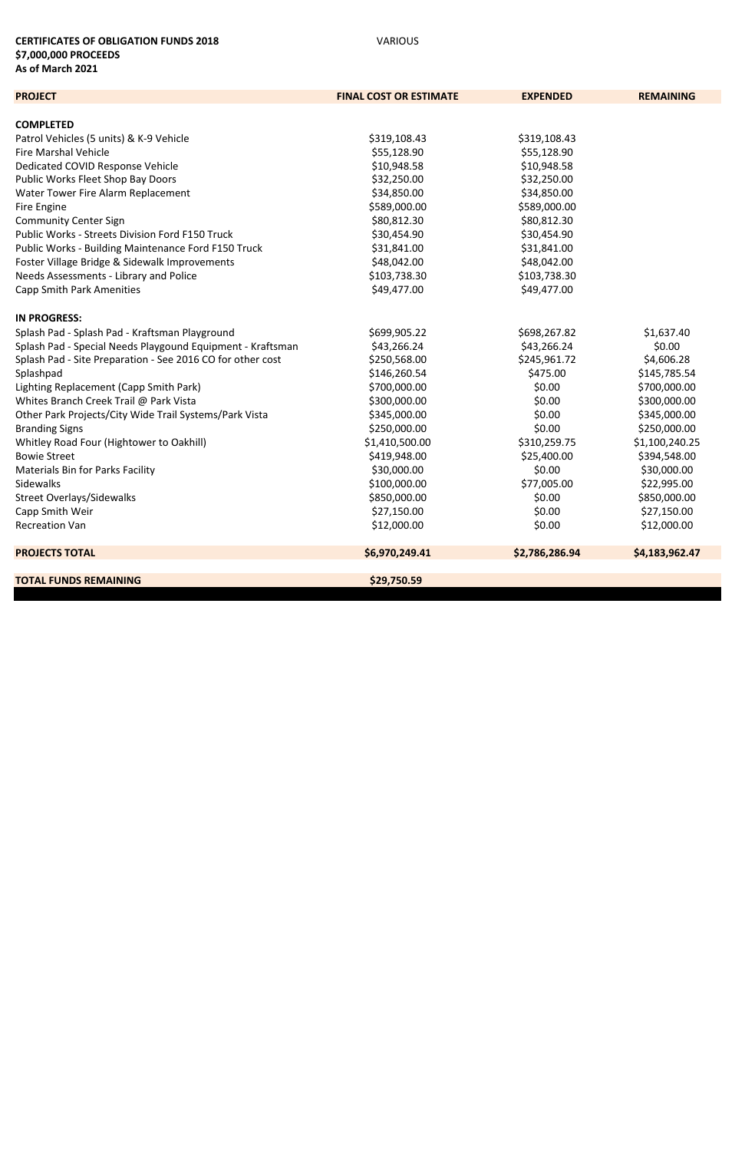### **CERTIFICATES OF OBLIGATION FUNDS 2018** VARIOUS **\$7,000,000 PROCEEDS As of March 2021**

| <b>PROJECT</b>                                             | <b>FINAL COST OR ESTIMATE</b> | <b>EXPENDED</b> | <b>REMAINING</b> |
|------------------------------------------------------------|-------------------------------|-----------------|------------------|
|                                                            |                               |                 |                  |
| <b>COMPLETED</b>                                           |                               |                 |                  |
| Patrol Vehicles (5 units) & K-9 Vehicle                    | \$319,108.43                  | \$319,108.43    |                  |
| <b>Fire Marshal Vehicle</b>                                | \$55,128.90                   | \$55,128.90     |                  |
| Dedicated COVID Response Vehicle                           | \$10,948.58                   | \$10,948.58     |                  |
| Public Works Fleet Shop Bay Doors                          | \$32,250.00                   | \$32,250.00     |                  |
| Water Tower Fire Alarm Replacement                         | \$34,850.00                   | \$34,850.00     |                  |
| Fire Engine                                                | \$589,000.00                  | \$589,000.00    |                  |
| <b>Community Center Sign</b>                               | \$80,812.30                   | \$80,812.30     |                  |
| Public Works - Streets Division Ford F150 Truck            | \$30,454.90                   | \$30,454.90     |                  |
| Public Works - Building Maintenance Ford F150 Truck        | \$31,841.00                   | \$31,841.00     |                  |
| Foster Village Bridge & Sidewalk Improvements              | \$48,042.00                   | \$48,042.00     |                  |
| Needs Assessments - Library and Police                     | \$103,738.30                  | \$103,738.30    |                  |
| <b>Capp Smith Park Amenities</b>                           | \$49,477.00                   | \$49,477.00     |                  |
| <b>IN PROGRESS:</b>                                        |                               |                 |                  |
| Splash Pad - Splash Pad - Kraftsman Playground             | \$699,905.22                  | \$698,267.82    | \$1,637.40       |
| Splash Pad - Special Needs Playgound Equipment - Kraftsman | \$43,266.24                   | \$43,266.24     | \$0.00           |
| Splash Pad - Site Preparation - See 2016 CO for other cost | \$250,568.00                  | \$245,961.72    | \$4,606.28       |
| Splashpad                                                  | \$146,260.54                  | \$475.00        | \$145,785.54     |
| Lighting Replacement (Capp Smith Park)                     | \$700,000.00                  | \$0.00          | \$700,000.00     |
| Whites Branch Creek Trail @ Park Vista                     | \$300,000.00                  | \$0.00          | \$300,000.00     |
| Other Park Projects/City Wide Trail Systems/Park Vista     | \$345,000.00                  | \$0.00          | \$345,000.00     |
| <b>Branding Signs</b>                                      | \$250,000.00                  | \$0.00          | \$250,000.00     |
| Whitley Road Four (Hightower to Oakhill)                   | \$1,410,500.00                | \$310,259.75    | \$1,100,240.25   |
| <b>Bowie Street</b>                                        | \$419,948.00                  | \$25,400.00     | \$394,548.00     |
| <b>Materials Bin for Parks Facility</b>                    | \$30,000.00                   | \$0.00          | \$30,000.00      |
| Sidewalks                                                  | \$100,000.00                  | \$77,005.00     | \$22,995.00      |
| <b>Street Overlays/Sidewalks</b>                           | \$850,000.00                  | \$0.00          | \$850,000.00     |
| Capp Smith Weir                                            | \$27,150.00                   | \$0.00          | \$27,150.00      |
| <b>Recreation Van</b>                                      | \$12,000.00                   | \$0.00          | \$12,000.00      |
| <b>PROJECTS TOTAL</b>                                      | \$6,970,249.41                | \$2,786,286.94  | \$4,183,962.47   |
| <b>TOTAL FUNDS REMAINING</b>                               | \$29,750.59                   |                 |                  |
|                                                            |                               |                 |                  |